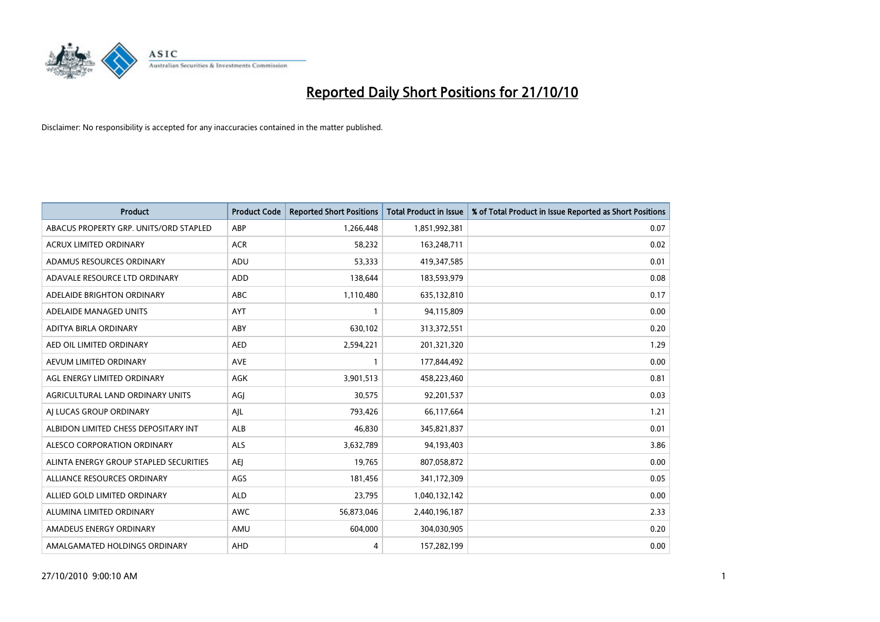

| <b>Product</b>                         | <b>Product Code</b> | <b>Reported Short Positions</b> | <b>Total Product in Issue</b> | % of Total Product in Issue Reported as Short Positions |
|----------------------------------------|---------------------|---------------------------------|-------------------------------|---------------------------------------------------------|
| ABACUS PROPERTY GRP. UNITS/ORD STAPLED | ABP                 | 1,266,448                       | 1,851,992,381                 | 0.07                                                    |
| ACRUX LIMITED ORDINARY                 | <b>ACR</b>          | 58,232                          | 163,248,711                   | 0.02                                                    |
| ADAMUS RESOURCES ORDINARY              | <b>ADU</b>          | 53,333                          | 419,347,585                   | 0.01                                                    |
| ADAVALE RESOURCE LTD ORDINARY          | ADD                 | 138,644                         | 183,593,979                   | 0.08                                                    |
| ADELAIDE BRIGHTON ORDINARY             | <b>ABC</b>          | 1,110,480                       | 635,132,810                   | 0.17                                                    |
| ADELAIDE MANAGED UNITS                 | AYT                 |                                 | 94,115,809                    | 0.00                                                    |
| ADITYA BIRLA ORDINARY                  | ABY                 | 630,102                         | 313,372,551                   | 0.20                                                    |
| AED OIL LIMITED ORDINARY               | <b>AED</b>          | 2,594,221                       | 201,321,320                   | 1.29                                                    |
| AEVUM LIMITED ORDINARY                 | <b>AVE</b>          |                                 | 177,844,492                   | 0.00                                                    |
| AGL ENERGY LIMITED ORDINARY            | <b>AGK</b>          | 3,901,513                       | 458,223,460                   | 0.81                                                    |
| AGRICULTURAL LAND ORDINARY UNITS       | AGJ                 | 30,575                          | 92,201,537                    | 0.03                                                    |
| AI LUCAS GROUP ORDINARY                | AJL                 | 793,426                         | 66,117,664                    | 1.21                                                    |
| ALBIDON LIMITED CHESS DEPOSITARY INT   | ALB                 | 46,830                          | 345,821,837                   | 0.01                                                    |
| ALESCO CORPORATION ORDINARY            | <b>ALS</b>          | 3,632,789                       | 94,193,403                    | 3.86                                                    |
| ALINTA ENERGY GROUP STAPLED SECURITIES | <b>AEI</b>          | 19,765                          | 807,058,872                   | 0.00                                                    |
| ALLIANCE RESOURCES ORDINARY            | AGS                 | 181,456                         | 341,172,309                   | 0.05                                                    |
| ALLIED GOLD LIMITED ORDINARY           | <b>ALD</b>          | 23,795                          | 1,040,132,142                 | 0.00                                                    |
| ALUMINA LIMITED ORDINARY               | <b>AWC</b>          | 56,873,046                      | 2,440,196,187                 | 2.33                                                    |
| AMADEUS ENERGY ORDINARY                | AMU                 | 604,000                         | 304,030,905                   | 0.20                                                    |
| AMALGAMATED HOLDINGS ORDINARY          | AHD                 | 4                               | 157,282,199                   | 0.00                                                    |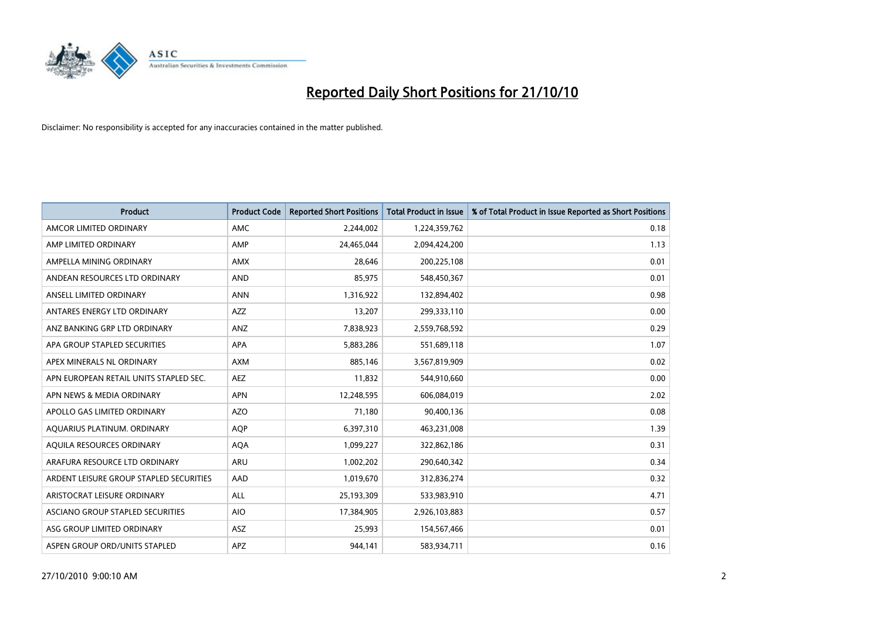

| <b>Product</b>                          | <b>Product Code</b> | <b>Reported Short Positions</b> | <b>Total Product in Issue</b> | % of Total Product in Issue Reported as Short Positions |
|-----------------------------------------|---------------------|---------------------------------|-------------------------------|---------------------------------------------------------|
| AMCOR LIMITED ORDINARY                  | <b>AMC</b>          | 2,244,002                       | 1,224,359,762                 | 0.18                                                    |
| AMP LIMITED ORDINARY                    | AMP                 | 24,465,044                      | 2,094,424,200                 | 1.13                                                    |
| AMPELLA MINING ORDINARY                 | <b>AMX</b>          | 28.646                          | 200,225,108                   | 0.01                                                    |
| ANDEAN RESOURCES LTD ORDINARY           | <b>AND</b>          | 85,975                          | 548,450,367                   | 0.01                                                    |
| ANSELL LIMITED ORDINARY                 | <b>ANN</b>          | 1,316,922                       | 132,894,402                   | 0.98                                                    |
| ANTARES ENERGY LTD ORDINARY             | <b>AZZ</b>          | 13,207                          | 299,333,110                   | 0.00                                                    |
| ANZ BANKING GRP LTD ORDINARY            | <b>ANZ</b>          | 7,838,923                       | 2,559,768,592                 | 0.29                                                    |
| APA GROUP STAPLED SECURITIES            | <b>APA</b>          | 5,883,286                       | 551,689,118                   | 1.07                                                    |
| APEX MINERALS NL ORDINARY               | <b>AXM</b>          | 885,146                         | 3,567,819,909                 | 0.02                                                    |
| APN EUROPEAN RETAIL UNITS STAPLED SEC.  | <b>AEZ</b>          | 11,832                          | 544,910,660                   | 0.00                                                    |
| APN NEWS & MEDIA ORDINARY               | <b>APN</b>          | 12,248,595                      | 606,084,019                   | 2.02                                                    |
| APOLLO GAS LIMITED ORDINARY             | <b>AZO</b>          | 71,180                          | 90,400,136                    | 0.08                                                    |
| AQUARIUS PLATINUM. ORDINARY             | <b>AQP</b>          | 6,397,310                       | 463,231,008                   | 1.39                                                    |
| AQUILA RESOURCES ORDINARY               | <b>AQA</b>          | 1,099,227                       | 322,862,186                   | 0.31                                                    |
| ARAFURA RESOURCE LTD ORDINARY           | <b>ARU</b>          | 1,002,202                       | 290,640,342                   | 0.34                                                    |
| ARDENT LEISURE GROUP STAPLED SECURITIES | AAD                 | 1,019,670                       | 312,836,274                   | 0.32                                                    |
| ARISTOCRAT LEISURE ORDINARY             | <b>ALL</b>          | 25,193,309                      | 533,983,910                   | 4.71                                                    |
| ASCIANO GROUP STAPLED SECURITIES        | <b>AIO</b>          | 17,384,905                      | 2,926,103,883                 | 0.57                                                    |
| ASG GROUP LIMITED ORDINARY              | <b>ASZ</b>          | 25,993                          | 154,567,466                   | 0.01                                                    |
| ASPEN GROUP ORD/UNITS STAPLED           | <b>APZ</b>          | 944.141                         | 583,934,711                   | 0.16                                                    |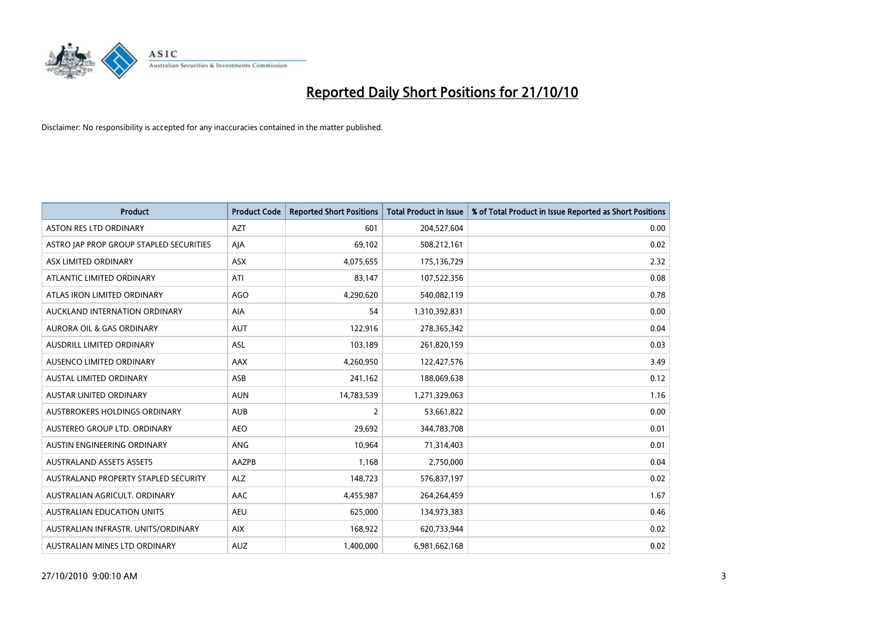

| <b>Product</b>                          | <b>Product Code</b> | <b>Reported Short Positions</b> | <b>Total Product in Issue</b> | % of Total Product in Issue Reported as Short Positions |
|-----------------------------------------|---------------------|---------------------------------|-------------------------------|---------------------------------------------------------|
| <b>ASTON RES LTD ORDINARY</b>           | <b>AZT</b>          | 601                             | 204,527,604                   | 0.00                                                    |
| ASTRO JAP PROP GROUP STAPLED SECURITIES | AJA                 | 69,102                          | 508,212,161                   | 0.02                                                    |
| ASX LIMITED ORDINARY                    | <b>ASX</b>          | 4,075,655                       | 175,136,729                   | 2.32                                                    |
| ATLANTIC LIMITED ORDINARY               | ATI                 | 83,147                          | 107,522,356                   | 0.08                                                    |
| ATLAS IRON LIMITED ORDINARY             | <b>AGO</b>          | 4,290,620                       | 540,082,119                   | 0.78                                                    |
| AUCKLAND INTERNATION ORDINARY           | AIA                 | 54                              | 1,310,392,831                 | 0.00                                                    |
| <b>AURORA OIL &amp; GAS ORDINARY</b>    | <b>AUT</b>          | 122.916                         | 278,365,342                   | 0.04                                                    |
| <b>AUSDRILL LIMITED ORDINARY</b>        | <b>ASL</b>          | 103,189                         | 261,820,159                   | 0.03                                                    |
| AUSENCO LIMITED ORDINARY                | <b>AAX</b>          | 4,260,950                       | 122,427,576                   | 3.49                                                    |
| <b>AUSTAL LIMITED ORDINARY</b>          | ASB                 | 241,162                         | 188,069,638                   | 0.12                                                    |
| AUSTAR UNITED ORDINARY                  | <b>AUN</b>          | 14,783,539                      | 1,271,329,063                 | 1.16                                                    |
| <b>AUSTBROKERS HOLDINGS ORDINARY</b>    | <b>AUB</b>          | 2                               | 53,661,822                    | 0.00                                                    |
| AUSTEREO GROUP LTD. ORDINARY            | <b>AEO</b>          | 29,692                          | 344,783,708                   | 0.01                                                    |
| AUSTIN ENGINEERING ORDINARY             | ANG                 | 10,964                          | 71,314,403                    | 0.01                                                    |
| <b>AUSTRALAND ASSETS ASSETS</b>         | AAZPB               | 1,168                           | 2,750,000                     | 0.04                                                    |
| AUSTRALAND PROPERTY STAPLED SECURITY    | <b>ALZ</b>          | 148,723                         | 576,837,197                   | 0.02                                                    |
| AUSTRALIAN AGRICULT, ORDINARY           | <b>AAC</b>          | 4,455,987                       | 264,264,459                   | 1.67                                                    |
| AUSTRALIAN EDUCATION UNITS              | <b>AEU</b>          | 625,000                         | 134,973,383                   | 0.46                                                    |
| AUSTRALIAN INFRASTR, UNITS/ORDINARY     | <b>AIX</b>          | 168,922                         | 620,733,944                   | 0.02                                                    |
| AUSTRALIAN MINES LTD ORDINARY           | <b>AUZ</b>          | 1.400.000                       | 6,981,662,168                 | 0.02                                                    |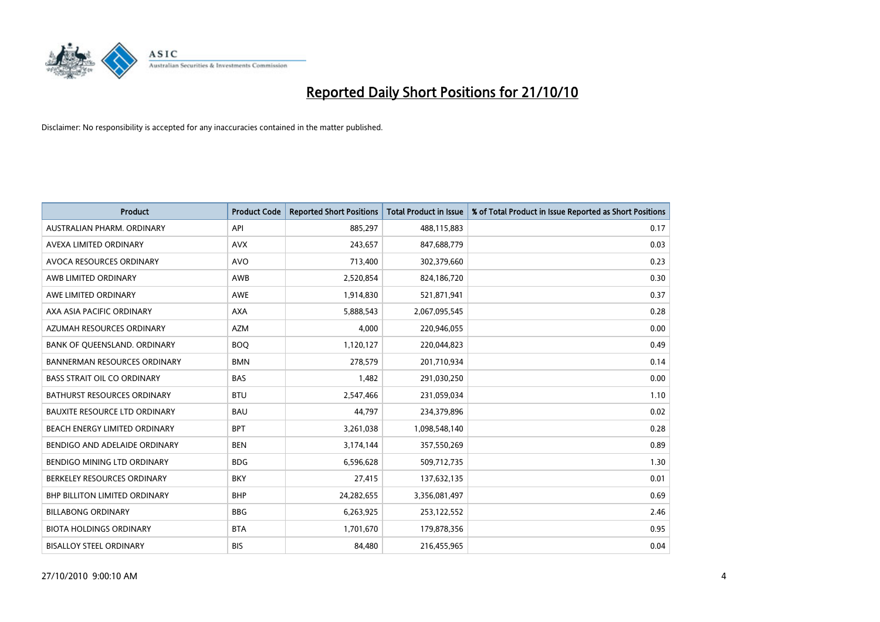

| <b>Product</b>                       | <b>Product Code</b> | <b>Reported Short Positions</b> | <b>Total Product in Issue</b> | % of Total Product in Issue Reported as Short Positions |
|--------------------------------------|---------------------|---------------------------------|-------------------------------|---------------------------------------------------------|
| AUSTRALIAN PHARM, ORDINARY           | API                 | 885,297                         | 488,115,883                   | 0.17                                                    |
| AVEXA LIMITED ORDINARY               | <b>AVX</b>          | 243,657                         | 847,688,779                   | 0.03                                                    |
| AVOCA RESOURCES ORDINARY             | <b>AVO</b>          | 713,400                         | 302,379,660                   | 0.23                                                    |
| AWB LIMITED ORDINARY                 | AWB                 | 2,520,854                       | 824,186,720                   | 0.30                                                    |
| AWE LIMITED ORDINARY                 | AWE                 | 1,914,830                       | 521,871,941                   | 0.37                                                    |
| AXA ASIA PACIFIC ORDINARY            | <b>AXA</b>          | 5,888,543                       | 2,067,095,545                 | 0.28                                                    |
| AZUMAH RESOURCES ORDINARY            | <b>AZM</b>          | 4,000                           | 220,946,055                   | 0.00                                                    |
| BANK OF QUEENSLAND. ORDINARY         | <b>BOO</b>          | 1,120,127                       | 220,044,823                   | 0.49                                                    |
| <b>BANNERMAN RESOURCES ORDINARY</b>  | <b>BMN</b>          | 278,579                         | 201,710,934                   | 0.14                                                    |
| <b>BASS STRAIT OIL CO ORDINARY</b>   | <b>BAS</b>          | 1,482                           | 291,030,250                   | 0.00                                                    |
| <b>BATHURST RESOURCES ORDINARY</b>   | <b>BTU</b>          | 2,547,466                       | 231,059,034                   | 1.10                                                    |
| <b>BAUXITE RESOURCE LTD ORDINARY</b> | <b>BAU</b>          | 44.797                          | 234,379,896                   | 0.02                                                    |
| BEACH ENERGY LIMITED ORDINARY        | <b>BPT</b>          | 3,261,038                       | 1,098,548,140                 | 0.28                                                    |
| BENDIGO AND ADELAIDE ORDINARY        | <b>BEN</b>          | 3,174,144                       | 357,550,269                   | 0.89                                                    |
| BENDIGO MINING LTD ORDINARY          | <b>BDG</b>          | 6,596,628                       | 509,712,735                   | 1.30                                                    |
| BERKELEY RESOURCES ORDINARY          | <b>BKY</b>          | 27,415                          | 137,632,135                   | 0.01                                                    |
| <b>BHP BILLITON LIMITED ORDINARY</b> | <b>BHP</b>          | 24,282,655                      | 3,356,081,497                 | 0.69                                                    |
| <b>BILLABONG ORDINARY</b>            | <b>BBG</b>          | 6,263,925                       | 253,122,552                   | 2.46                                                    |
| <b>BIOTA HOLDINGS ORDINARY</b>       | <b>BTA</b>          | 1,701,670                       | 179,878,356                   | 0.95                                                    |
| <b>BISALLOY STEEL ORDINARY</b>       | <b>BIS</b>          | 84,480                          | 216,455,965                   | 0.04                                                    |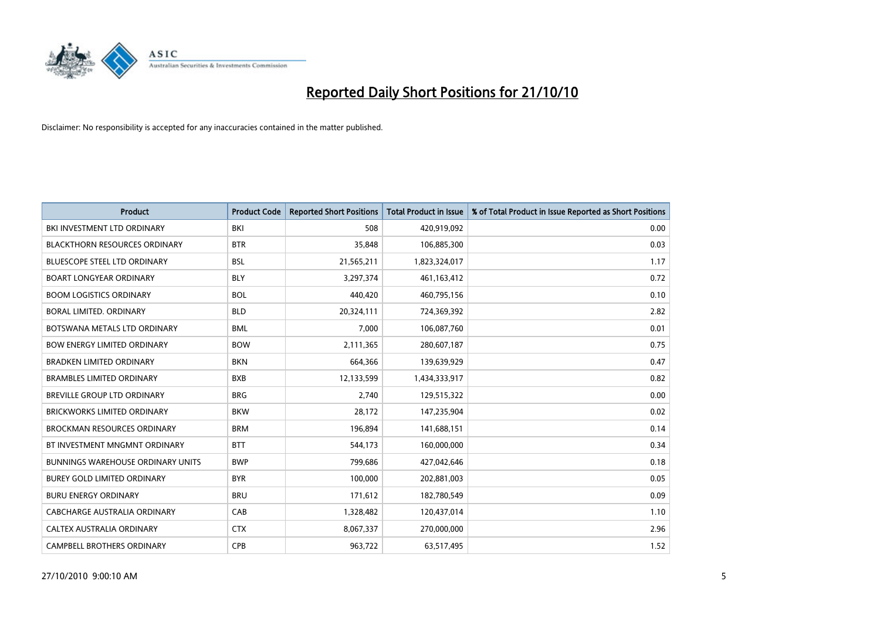

| <b>Product</b>                           | <b>Product Code</b> | <b>Reported Short Positions</b> | <b>Total Product in Issue</b> | % of Total Product in Issue Reported as Short Positions |
|------------------------------------------|---------------------|---------------------------------|-------------------------------|---------------------------------------------------------|
| BKI INVESTMENT LTD ORDINARY              | BKI                 | 508                             | 420,919,092                   | 0.00                                                    |
| <b>BLACKTHORN RESOURCES ORDINARY</b>     | <b>BTR</b>          | 35,848                          | 106,885,300                   | 0.03                                                    |
| <b>BLUESCOPE STEEL LTD ORDINARY</b>      | <b>BSL</b>          | 21,565,211                      | 1,823,324,017                 | 1.17                                                    |
| <b>BOART LONGYEAR ORDINARY</b>           | <b>BLY</b>          | 3,297,374                       | 461,163,412                   | 0.72                                                    |
| <b>BOOM LOGISTICS ORDINARY</b>           | <b>BOL</b>          | 440,420                         | 460,795,156                   | 0.10                                                    |
| <b>BORAL LIMITED, ORDINARY</b>           | <b>BLD</b>          | 20,324,111                      | 724,369,392                   | 2.82                                                    |
| BOTSWANA METALS LTD ORDINARY             | <b>BML</b>          | 7,000                           | 106,087,760                   | 0.01                                                    |
| <b>BOW ENERGY LIMITED ORDINARY</b>       | <b>BOW</b>          | 2,111,365                       | 280,607,187                   | 0.75                                                    |
| <b>BRADKEN LIMITED ORDINARY</b>          | <b>BKN</b>          | 664,366                         | 139,639,929                   | 0.47                                                    |
| <b>BRAMBLES LIMITED ORDINARY</b>         | <b>BXB</b>          | 12,133,599                      | 1,434,333,917                 | 0.82                                                    |
| BREVILLE GROUP LTD ORDINARY              | <b>BRG</b>          | 2,740                           | 129,515,322                   | 0.00                                                    |
| <b>BRICKWORKS LIMITED ORDINARY</b>       | <b>BKW</b>          | 28,172                          | 147,235,904                   | 0.02                                                    |
| <b>BROCKMAN RESOURCES ORDINARY</b>       | <b>BRM</b>          | 196,894                         | 141,688,151                   | 0.14                                                    |
| BT INVESTMENT MNGMNT ORDINARY            | <b>BTT</b>          | 544,173                         | 160,000,000                   | 0.34                                                    |
| <b>BUNNINGS WAREHOUSE ORDINARY UNITS</b> | <b>BWP</b>          | 799,686                         | 427,042,646                   | 0.18                                                    |
| <b>BUREY GOLD LIMITED ORDINARY</b>       | <b>BYR</b>          | 100,000                         | 202,881,003                   | 0.05                                                    |
| <b>BURU ENERGY ORDINARY</b>              | <b>BRU</b>          | 171,612                         | 182,780,549                   | 0.09                                                    |
| CABCHARGE AUSTRALIA ORDINARY             | CAB                 | 1,328,482                       | 120,437,014                   | 1.10                                                    |
| CALTEX AUSTRALIA ORDINARY                | <b>CTX</b>          | 8,067,337                       | 270,000,000                   | 2.96                                                    |
| CAMPBELL BROTHERS ORDINARY               | <b>CPB</b>          | 963,722                         | 63,517,495                    | 1.52                                                    |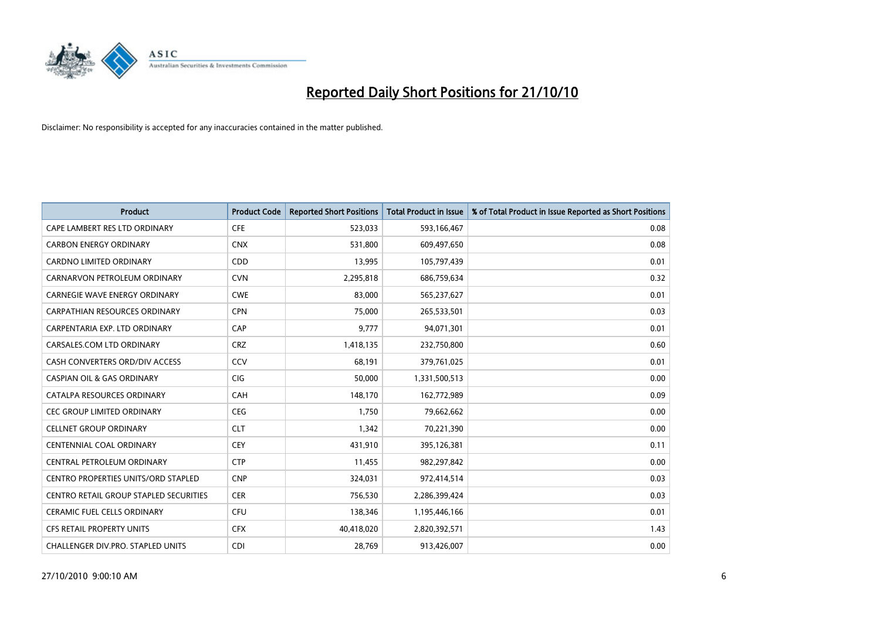

| <b>Product</b>                                | <b>Product Code</b> | <b>Reported Short Positions</b> | Total Product in Issue | % of Total Product in Issue Reported as Short Positions |
|-----------------------------------------------|---------------------|---------------------------------|------------------------|---------------------------------------------------------|
| CAPE LAMBERT RES LTD ORDINARY                 | <b>CFE</b>          | 523,033                         | 593,166,467            | 0.08                                                    |
| <b>CARBON ENERGY ORDINARY</b>                 | <b>CNX</b>          | 531,800                         | 609,497,650            | 0.08                                                    |
| <b>CARDNO LIMITED ORDINARY</b>                | <b>CDD</b>          | 13,995                          | 105,797,439            | 0.01                                                    |
| CARNARVON PETROLEUM ORDINARY                  | <b>CVN</b>          | 2,295,818                       | 686,759,634            | 0.32                                                    |
| <b>CARNEGIE WAVE ENERGY ORDINARY</b>          | <b>CWE</b>          | 83,000                          | 565,237,627            | 0.01                                                    |
| CARPATHIAN RESOURCES ORDINARY                 | <b>CPN</b>          | 75,000                          | 265,533,501            | 0.03                                                    |
| CARPENTARIA EXP. LTD ORDINARY                 | CAP                 | 9.777                           | 94,071,301             | 0.01                                                    |
| CARSALES.COM LTD ORDINARY                     | <b>CRZ</b>          | 1,418,135                       | 232,750,800            | 0.60                                                    |
| CASH CONVERTERS ORD/DIV ACCESS                | CCV                 | 68,191                          | 379,761,025            | 0.01                                                    |
| <b>CASPIAN OIL &amp; GAS ORDINARY</b>         | <b>CIG</b>          | 50,000                          | 1,331,500,513          | 0.00                                                    |
| CATALPA RESOURCES ORDINARY                    | <b>CAH</b>          | 148,170                         | 162,772,989            | 0.09                                                    |
| <b>CEC GROUP LIMITED ORDINARY</b>             | <b>CEG</b>          | 1,750                           | 79,662,662             | 0.00                                                    |
| <b>CELLNET GROUP ORDINARY</b>                 | <b>CLT</b>          | 1,342                           | 70,221,390             | 0.00                                                    |
| <b>CENTENNIAL COAL ORDINARY</b>               | <b>CEY</b>          | 431,910                         | 395,126,381            | 0.11                                                    |
| CENTRAL PETROLEUM ORDINARY                    | <b>CTP</b>          | 11,455                          | 982,297,842            | 0.00                                                    |
| CENTRO PROPERTIES UNITS/ORD STAPLED           | <b>CNP</b>          | 324,031                         | 972,414,514            | 0.03                                                    |
| <b>CENTRO RETAIL GROUP STAPLED SECURITIES</b> | <b>CER</b>          | 756,530                         | 2,286,399,424          | 0.03                                                    |
| CERAMIC FUEL CELLS ORDINARY                   | CFU                 | 138,346                         | 1,195,446,166          | 0.01                                                    |
| <b>CFS RETAIL PROPERTY UNITS</b>              | <b>CFX</b>          | 40,418,020                      | 2,820,392,571          | 1.43                                                    |
| <b>CHALLENGER DIV.PRO. STAPLED UNITS</b>      | <b>CDI</b>          | 28.769                          | 913,426,007            | 0.00                                                    |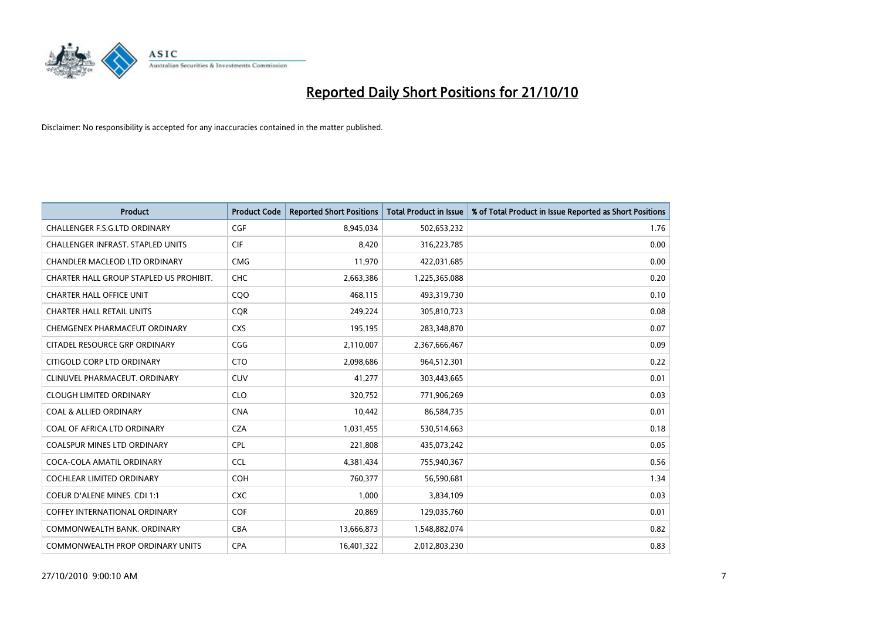

| <b>Product</b>                          | <b>Product Code</b> | <b>Reported Short Positions</b> | <b>Total Product in Issue</b> | % of Total Product in Issue Reported as Short Positions |
|-----------------------------------------|---------------------|---------------------------------|-------------------------------|---------------------------------------------------------|
| <b>CHALLENGER F.S.G.LTD ORDINARY</b>    | CGF                 | 8,945,034                       | 502,653,232                   | 1.76                                                    |
| CHALLENGER INFRAST. STAPLED UNITS       | <b>CIF</b>          | 8,420                           | 316,223,785                   | 0.00                                                    |
| <b>CHANDLER MACLEOD LTD ORDINARY</b>    | <b>CMG</b>          | 11,970                          | 422,031,685                   | 0.00                                                    |
| CHARTER HALL GROUP STAPLED US PROHIBIT. | CHC                 | 2,663,386                       | 1,225,365,088                 | 0.20                                                    |
| <b>CHARTER HALL OFFICE UNIT</b>         | COO                 | 468,115                         | 493,319,730                   | 0.10                                                    |
| <b>CHARTER HALL RETAIL UNITS</b>        | <b>COR</b>          | 249,224                         | 305,810,723                   | 0.08                                                    |
| CHEMGENEX PHARMACEUT ORDINARY           | <b>CXS</b>          | 195,195                         | 283,348,870                   | 0.07                                                    |
| CITADEL RESOURCE GRP ORDINARY           | CGG                 | 2,110,007                       | 2,367,666,467                 | 0.09                                                    |
| CITIGOLD CORP LTD ORDINARY              | <b>CTO</b>          | 2,098,686                       | 964,512,301                   | 0.22                                                    |
| CLINUVEL PHARMACEUT, ORDINARY           | <b>CUV</b>          | 41,277                          | 303,443,665                   | 0.01                                                    |
| <b>CLOUGH LIMITED ORDINARY</b>          | <b>CLO</b>          | 320,752                         | 771,906,269                   | 0.03                                                    |
| <b>COAL &amp; ALLIED ORDINARY</b>       | <b>CNA</b>          | 10,442                          | 86,584,735                    | 0.01                                                    |
| COAL OF AFRICA LTD ORDINARY             | <b>CZA</b>          | 1,031,455                       | 530,514,663                   | 0.18                                                    |
| <b>COALSPUR MINES LTD ORDINARY</b>      | <b>CPL</b>          | 221,808                         | 435,073,242                   | 0.05                                                    |
| COCA-COLA AMATIL ORDINARY               | <b>CCL</b>          | 4,381,434                       | 755,940,367                   | 0.56                                                    |
| <b>COCHLEAR LIMITED ORDINARY</b>        | <b>COH</b>          | 760,377                         | 56,590,681                    | 1.34                                                    |
| COEUR D'ALENE MINES. CDI 1:1            | <b>CXC</b>          | 1,000                           | 3,834,109                     | 0.03                                                    |
| <b>COFFEY INTERNATIONAL ORDINARY</b>    | <b>COF</b>          | 20,869                          | 129,035,760                   | 0.01                                                    |
| COMMONWEALTH BANK, ORDINARY             | CBA                 | 13,666,873                      | 1,548,882,074                 | 0.82                                                    |
| COMMONWEALTH PROP ORDINARY UNITS        | <b>CPA</b>          | 16,401,322                      | 2,012,803,230                 | 0.83                                                    |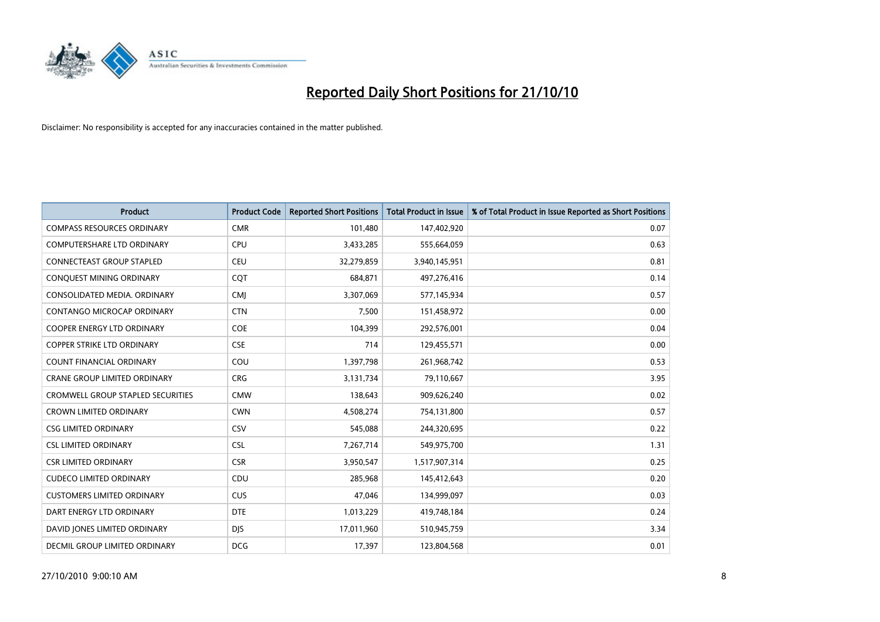

| <b>Product</b>                           | <b>Product Code</b> | <b>Reported Short Positions</b> | <b>Total Product in Issue</b> | % of Total Product in Issue Reported as Short Positions |
|------------------------------------------|---------------------|---------------------------------|-------------------------------|---------------------------------------------------------|
| <b>COMPASS RESOURCES ORDINARY</b>        | <b>CMR</b>          | 101,480                         | 147,402,920                   | 0.07                                                    |
| <b>COMPUTERSHARE LTD ORDINARY</b>        | CPU                 | 3,433,285                       | 555,664,059                   | 0.63                                                    |
| CONNECTEAST GROUP STAPLED                | CEU                 | 32,279,859                      | 3,940,145,951                 | 0.81                                                    |
| CONQUEST MINING ORDINARY                 | COT                 | 684,871                         | 497,276,416                   | 0.14                                                    |
| CONSOLIDATED MEDIA, ORDINARY             | <b>CMI</b>          | 3,307,069                       | 577,145,934                   | 0.57                                                    |
| CONTANGO MICROCAP ORDINARY               | <b>CTN</b>          | 7,500                           | 151,458,972                   | 0.00                                                    |
| <b>COOPER ENERGY LTD ORDINARY</b>        | <b>COE</b>          | 104,399                         | 292,576,001                   | 0.04                                                    |
| <b>COPPER STRIKE LTD ORDINARY</b>        | <b>CSE</b>          | 714                             | 129,455,571                   | 0.00                                                    |
| COUNT FINANCIAL ORDINARY                 | COU                 | 1,397,798                       | 261,968,742                   | 0.53                                                    |
| <b>CRANE GROUP LIMITED ORDINARY</b>      | <b>CRG</b>          | 3,131,734                       | 79,110,667                    | 3.95                                                    |
| <b>CROMWELL GROUP STAPLED SECURITIES</b> | <b>CMW</b>          | 138,643                         | 909,626,240                   | 0.02                                                    |
| <b>CROWN LIMITED ORDINARY</b>            | <b>CWN</b>          | 4,508,274                       | 754,131,800                   | 0.57                                                    |
| <b>CSG LIMITED ORDINARY</b>              | CSV                 | 545.088                         | 244,320,695                   | 0.22                                                    |
| <b>CSL LIMITED ORDINARY</b>              | CSL                 | 7,267,714                       | 549,975,700                   | 1.31                                                    |
| <b>CSR LIMITED ORDINARY</b>              | <b>CSR</b>          | 3,950,547                       | 1,517,907,314                 | 0.25                                                    |
| <b>CUDECO LIMITED ORDINARY</b>           | CDU                 | 285,968                         | 145,412,643                   | 0.20                                                    |
| <b>CUSTOMERS LIMITED ORDINARY</b>        | <b>CUS</b>          | 47,046                          | 134,999,097                   | 0.03                                                    |
| DART ENERGY LTD ORDINARY                 | <b>DTE</b>          | 1,013,229                       | 419,748,184                   | 0.24                                                    |
| DAVID JONES LIMITED ORDINARY             | <b>DIS</b>          | 17,011,960                      | 510,945,759                   | 3.34                                                    |
| DECMIL GROUP LIMITED ORDINARY            | <b>DCG</b>          | 17,397                          | 123,804,568                   | 0.01                                                    |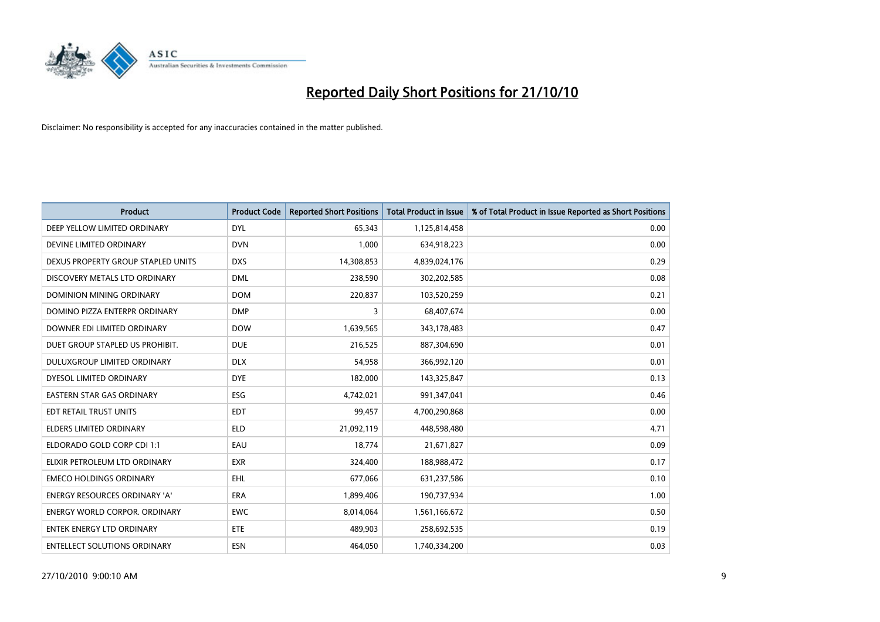

| <b>Product</b>                       | <b>Product Code</b> | <b>Reported Short Positions</b> | Total Product in Issue | % of Total Product in Issue Reported as Short Positions |
|--------------------------------------|---------------------|---------------------------------|------------------------|---------------------------------------------------------|
| DEEP YELLOW LIMITED ORDINARY         | <b>DYL</b>          | 65,343                          | 1,125,814,458          | 0.00                                                    |
| DEVINE LIMITED ORDINARY              | <b>DVN</b>          | 1,000                           | 634,918,223            | 0.00                                                    |
| DEXUS PROPERTY GROUP STAPLED UNITS   | <b>DXS</b>          | 14,308,853                      | 4,839,024,176          | 0.29                                                    |
| DISCOVERY METALS LTD ORDINARY        | <b>DML</b>          | 238,590                         | 302,202,585            | 0.08                                                    |
| DOMINION MINING ORDINARY             | <b>DOM</b>          | 220.837                         | 103,520,259            | 0.21                                                    |
| DOMINO PIZZA ENTERPR ORDINARY        | <b>DMP</b>          | 3                               | 68,407,674             | 0.00                                                    |
| DOWNER EDI LIMITED ORDINARY          | <b>DOW</b>          | 1,639,565                       | 343,178,483            | 0.47                                                    |
| DUET GROUP STAPLED US PROHIBIT.      | <b>DUE</b>          | 216,525                         | 887,304,690            | 0.01                                                    |
| DULUXGROUP LIMITED ORDINARY          | <b>DLX</b>          | 54,958                          | 366,992,120            | 0.01                                                    |
| DYESOL LIMITED ORDINARY              | <b>DYE</b>          | 182,000                         | 143,325,847            | 0.13                                                    |
| <b>EASTERN STAR GAS ORDINARY</b>     | <b>ESG</b>          | 4,742,021                       | 991,347,041            | 0.46                                                    |
| EDT RETAIL TRUST UNITS               | <b>EDT</b>          | 99,457                          | 4,700,290,868          | 0.00                                                    |
| <b>ELDERS LIMITED ORDINARY</b>       | <b>ELD</b>          | 21,092,119                      | 448,598,480            | 4.71                                                    |
| ELDORADO GOLD CORP CDI 1:1           | EAU                 | 18.774                          | 21,671,827             | 0.09                                                    |
| ELIXIR PETROLEUM LTD ORDINARY        | <b>EXR</b>          | 324,400                         | 188,988,472            | 0.17                                                    |
| <b>EMECO HOLDINGS ORDINARY</b>       | <b>EHL</b>          | 677,066                         | 631,237,586            | 0.10                                                    |
| <b>ENERGY RESOURCES ORDINARY 'A'</b> | <b>ERA</b>          | 1,899,406                       | 190,737,934            | 1.00                                                    |
| ENERGY WORLD CORPOR. ORDINARY        | <b>EWC</b>          | 8,014,064                       | 1,561,166,672          | 0.50                                                    |
| <b>ENTEK ENERGY LTD ORDINARY</b>     | <b>ETE</b>          | 489,903                         | 258,692,535            | 0.19                                                    |
| <b>ENTELLECT SOLUTIONS ORDINARY</b>  | <b>ESN</b>          | 464.050                         | 1,740,334,200          | 0.03                                                    |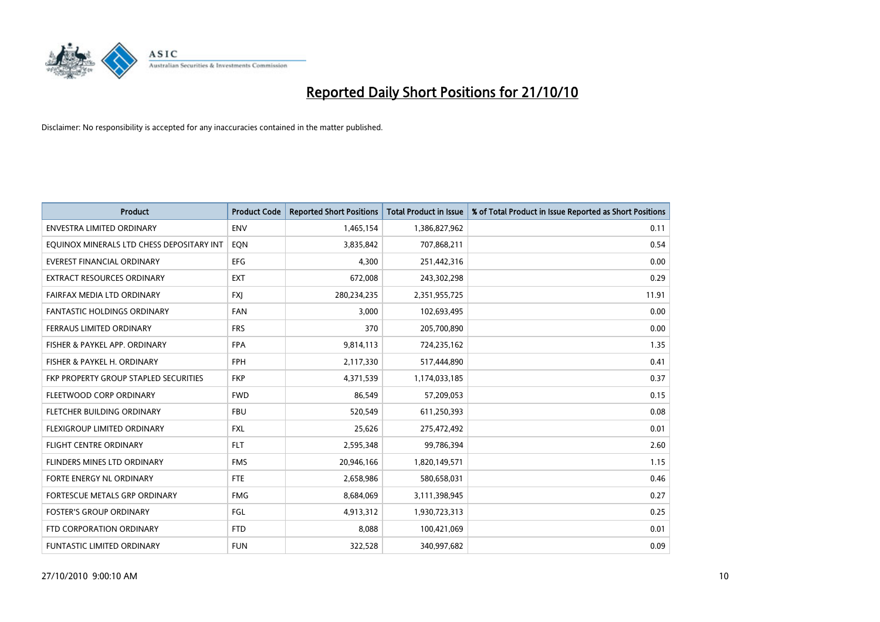

| <b>Product</b>                            | <b>Product Code</b> | <b>Reported Short Positions</b> | <b>Total Product in Issue</b> | % of Total Product in Issue Reported as Short Positions |
|-------------------------------------------|---------------------|---------------------------------|-------------------------------|---------------------------------------------------------|
| <b>ENVESTRA LIMITED ORDINARY</b>          | <b>ENV</b>          | 1,465,154                       | 1,386,827,962                 | 0.11                                                    |
| EQUINOX MINERALS LTD CHESS DEPOSITARY INT | EON                 | 3,835,842                       | 707,868,211                   | 0.54                                                    |
| <b>EVEREST FINANCIAL ORDINARY</b>         | <b>EFG</b>          | 4,300                           | 251,442,316                   | 0.00                                                    |
| <b>EXTRACT RESOURCES ORDINARY</b>         | <b>EXT</b>          | 672,008                         | 243,302,298                   | 0.29                                                    |
| FAIRFAX MEDIA LTD ORDINARY                | <b>FXI</b>          | 280,234,235                     | 2,351,955,725                 | 11.91                                                   |
| <b>FANTASTIC HOLDINGS ORDINARY</b>        | <b>FAN</b>          | 3,000                           | 102,693,495                   | 0.00                                                    |
| <b>FERRAUS LIMITED ORDINARY</b>           | <b>FRS</b>          | 370                             | 205,700,890                   | 0.00                                                    |
| FISHER & PAYKEL APP. ORDINARY             | <b>FPA</b>          | 9,814,113                       | 724,235,162                   | 1.35                                                    |
| FISHER & PAYKEL H. ORDINARY               | <b>FPH</b>          | 2,117,330                       | 517,444,890                   | 0.41                                                    |
| FKP PROPERTY GROUP STAPLED SECURITIES     | <b>FKP</b>          | 4,371,539                       | 1,174,033,185                 | 0.37                                                    |
| FLEETWOOD CORP ORDINARY                   | <b>FWD</b>          | 86,549                          | 57,209,053                    | 0.15                                                    |
| <b>FLETCHER BUILDING ORDINARY</b>         | <b>FBU</b>          | 520,549                         | 611,250,393                   | 0.08                                                    |
| FLEXIGROUP LIMITED ORDINARY               | <b>FXL</b>          | 25,626                          | 275,472,492                   | 0.01                                                    |
| <b>FLIGHT CENTRE ORDINARY</b>             | <b>FLT</b>          | 2,595,348                       | 99,786,394                    | 2.60                                                    |
| FLINDERS MINES LTD ORDINARY               | <b>FMS</b>          | 20,946,166                      | 1,820,149,571                 | 1.15                                                    |
| FORTE ENERGY NL ORDINARY                  | <b>FTE</b>          | 2,658,986                       | 580,658,031                   | 0.46                                                    |
| FORTESCUE METALS GRP ORDINARY             | <b>FMG</b>          | 8,684,069                       | 3,111,398,945                 | 0.27                                                    |
| <b>FOSTER'S GROUP ORDINARY</b>            | FGL                 | 4,913,312                       | 1,930,723,313                 | 0.25                                                    |
| FTD CORPORATION ORDINARY                  | <b>FTD</b>          | 8,088                           | 100,421,069                   | 0.01                                                    |
| <b>FUNTASTIC LIMITED ORDINARY</b>         | <b>FUN</b>          | 322,528                         | 340,997,682                   | 0.09                                                    |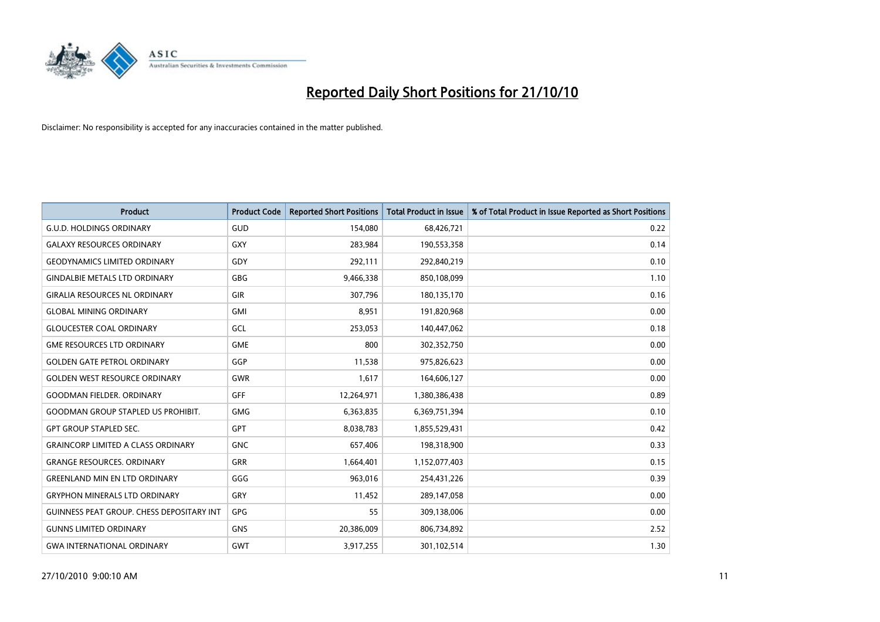

| <b>Product</b>                            | <b>Product Code</b> | <b>Reported Short Positions</b> | <b>Total Product in Issue</b> | % of Total Product in Issue Reported as Short Positions |
|-------------------------------------------|---------------------|---------------------------------|-------------------------------|---------------------------------------------------------|
| <b>G.U.D. HOLDINGS ORDINARY</b>           | GUD                 | 154,080                         | 68,426,721                    | 0.22                                                    |
| <b>GALAXY RESOURCES ORDINARY</b>          | <b>GXY</b>          | 283,984                         | 190,553,358                   | 0.14                                                    |
| <b>GEODYNAMICS LIMITED ORDINARY</b>       | GDY                 | 292,111                         | 292,840,219                   | 0.10                                                    |
| <b>GINDALBIE METALS LTD ORDINARY</b>      | <b>GBG</b>          | 9,466,338                       | 850,108,099                   | 1.10                                                    |
| <b>GIRALIA RESOURCES NL ORDINARY</b>      | <b>GIR</b>          | 307,796                         | 180,135,170                   | 0.16                                                    |
| <b>GLOBAL MINING ORDINARY</b>             | <b>GMI</b>          | 8,951                           | 191,820,968                   | 0.00                                                    |
| <b>GLOUCESTER COAL ORDINARY</b>           | GCL                 | 253,053                         | 140,447,062                   | 0.18                                                    |
| <b>GME RESOURCES LTD ORDINARY</b>         | <b>GME</b>          | 800                             | 302,352,750                   | 0.00                                                    |
| <b>GOLDEN GATE PETROL ORDINARY</b>        | GGP                 | 11,538                          | 975,826,623                   | 0.00                                                    |
| <b>GOLDEN WEST RESOURCE ORDINARY</b>      | <b>GWR</b>          | 1,617                           | 164,606,127                   | 0.00                                                    |
| <b>GOODMAN FIELDER. ORDINARY</b>          | <b>GFF</b>          | 12,264,971                      | 1,380,386,438                 | 0.89                                                    |
| <b>GOODMAN GROUP STAPLED US PROHIBIT.</b> | <b>GMG</b>          | 6,363,835                       | 6,369,751,394                 | 0.10                                                    |
| <b>GPT GROUP STAPLED SEC.</b>             | GPT                 | 8,038,783                       | 1,855,529,431                 | 0.42                                                    |
| <b>GRAINCORP LIMITED A CLASS ORDINARY</b> | <b>GNC</b>          | 657,406                         | 198,318,900                   | 0.33                                                    |
| <b>GRANGE RESOURCES, ORDINARY</b>         | GRR                 | 1,664,401                       | 1,152,077,403                 | 0.15                                                    |
| <b>GREENLAND MIN EN LTD ORDINARY</b>      | GGG                 | 963,016                         | 254,431,226                   | 0.39                                                    |
| <b>GRYPHON MINERALS LTD ORDINARY</b>      | GRY                 | 11,452                          | 289,147,058                   | 0.00                                                    |
| GUINNESS PEAT GROUP. CHESS DEPOSITARY INT | GPG                 | 55                              | 309,138,006                   | 0.00                                                    |
| <b>GUNNS LIMITED ORDINARY</b>             | <b>GNS</b>          | 20,386,009                      | 806,734,892                   | 2.52                                                    |
| <b>GWA INTERNATIONAL ORDINARY</b>         | GWT                 | 3,917,255                       | 301,102,514                   | 1.30                                                    |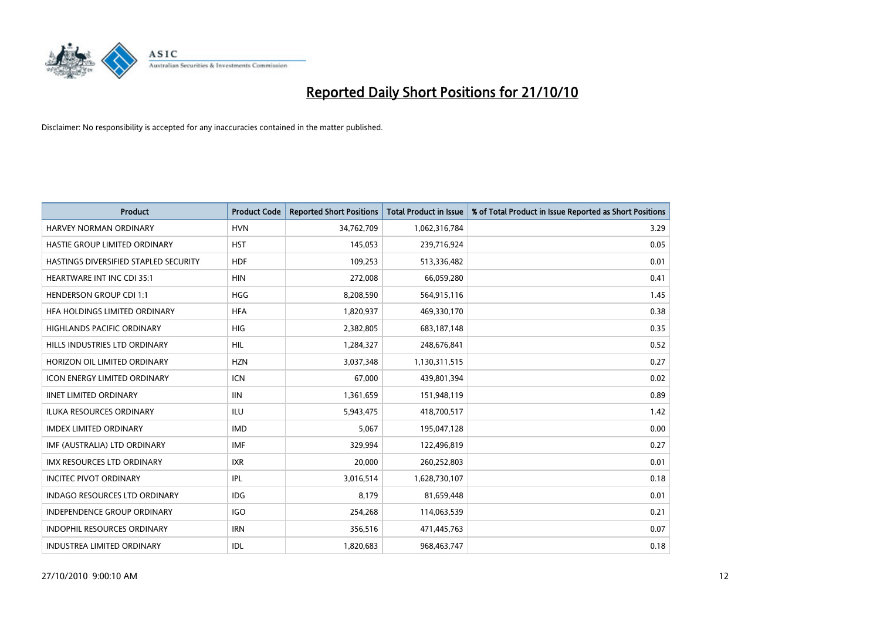

| <b>Product</b>                        | <b>Product Code</b> | <b>Reported Short Positions</b> | <b>Total Product in Issue</b> | % of Total Product in Issue Reported as Short Positions |
|---------------------------------------|---------------------|---------------------------------|-------------------------------|---------------------------------------------------------|
| <b>HARVEY NORMAN ORDINARY</b>         | <b>HVN</b>          | 34,762,709                      | 1,062,316,784                 | 3.29                                                    |
| HASTIE GROUP LIMITED ORDINARY         | <b>HST</b>          | 145,053                         | 239,716,924                   | 0.05                                                    |
| HASTINGS DIVERSIFIED STAPLED SECURITY | <b>HDF</b>          | 109,253                         | 513,336,482                   | 0.01                                                    |
| <b>HEARTWARE INT INC CDI 35:1</b>     | <b>HIN</b>          | 272,008                         | 66,059,280                    | 0.41                                                    |
| <b>HENDERSON GROUP CDI 1:1</b>        | <b>HGG</b>          | 8,208,590                       | 564,915,116                   | 1.45                                                    |
| HFA HOLDINGS LIMITED ORDINARY         | <b>HFA</b>          | 1,820,937                       | 469,330,170                   | 0.38                                                    |
| <b>HIGHLANDS PACIFIC ORDINARY</b>     | HIG                 | 2,382,805                       | 683,187,148                   | 0.35                                                    |
| HILLS INDUSTRIES LTD ORDINARY         | <b>HIL</b>          | 1,284,327                       | 248,676,841                   | 0.52                                                    |
| HORIZON OIL LIMITED ORDINARY          | <b>HZN</b>          | 3,037,348                       | 1,130,311,515                 | 0.27                                                    |
| <b>ICON ENERGY LIMITED ORDINARY</b>   | <b>ICN</b>          | 67,000                          | 439,801,394                   | 0.02                                                    |
| <b>IINET LIMITED ORDINARY</b>         | <b>IIN</b>          | 1,361,659                       | 151,948,119                   | 0.89                                                    |
| ILUKA RESOURCES ORDINARY              | ILU                 | 5,943,475                       | 418,700,517                   | 1.42                                                    |
| <b>IMDEX LIMITED ORDINARY</b>         | <b>IMD</b>          | 5,067                           | 195,047,128                   | 0.00                                                    |
| IMF (AUSTRALIA) LTD ORDINARY          | <b>IMF</b>          | 329,994                         | 122,496,819                   | 0.27                                                    |
| <b>IMX RESOURCES LTD ORDINARY</b>     | <b>IXR</b>          | 20,000                          | 260,252,803                   | 0.01                                                    |
| <b>INCITEC PIVOT ORDINARY</b>         | <b>IPL</b>          | 3,016,514                       | 1,628,730,107                 | 0.18                                                    |
| <b>INDAGO RESOURCES LTD ORDINARY</b>  | <b>IDG</b>          | 8,179                           | 81,659,448                    | 0.01                                                    |
| INDEPENDENCE GROUP ORDINARY           | <b>IGO</b>          | 254,268                         | 114,063,539                   | 0.21                                                    |
| <b>INDOPHIL RESOURCES ORDINARY</b>    | <b>IRN</b>          | 356,516                         | 471,445,763                   | 0.07                                                    |
| INDUSTREA LIMITED ORDINARY            | IDL                 | 1,820,683                       | 968,463,747                   | 0.18                                                    |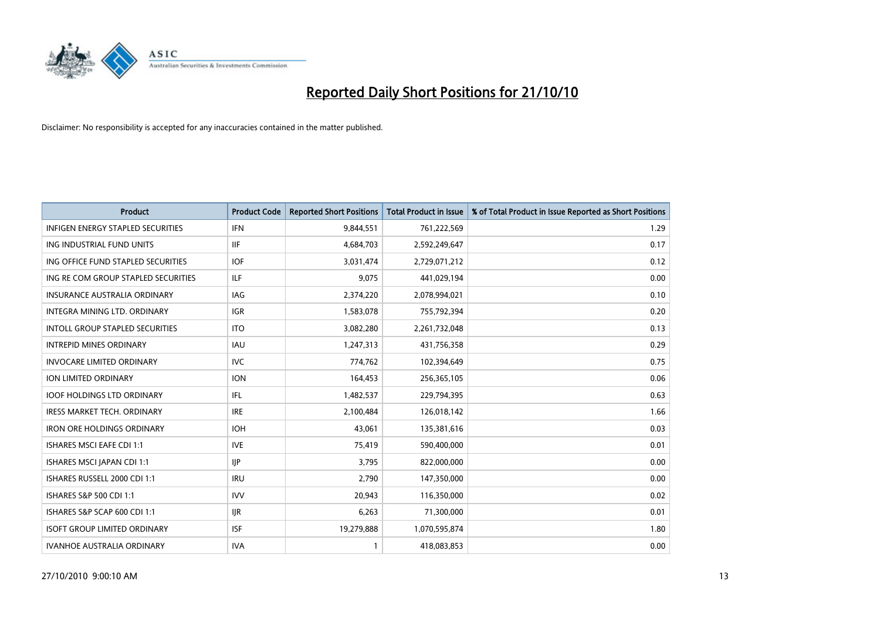

| <b>Product</b>                           | <b>Product Code</b> | <b>Reported Short Positions</b> | <b>Total Product in Issue</b> | % of Total Product in Issue Reported as Short Positions |
|------------------------------------------|---------------------|---------------------------------|-------------------------------|---------------------------------------------------------|
| <b>INFIGEN ENERGY STAPLED SECURITIES</b> | <b>IFN</b>          | 9,844,551                       | 761,222,569                   | 1.29                                                    |
| ING INDUSTRIAL FUND UNITS                | <b>IIF</b>          | 4,684,703                       | 2,592,249,647                 | 0.17                                                    |
| ING OFFICE FUND STAPLED SECURITIES       | <b>IOF</b>          | 3,031,474                       | 2,729,071,212                 | 0.12                                                    |
| ING RE COM GROUP STAPLED SECURITIES      | <b>ILF</b>          | 9,075                           | 441,029,194                   | 0.00                                                    |
| <b>INSURANCE AUSTRALIA ORDINARY</b>      | IAG                 | 2,374,220                       | 2,078,994,021                 | 0.10                                                    |
| <b>INTEGRA MINING LTD, ORDINARY</b>      | <b>IGR</b>          | 1,583,078                       | 755,792,394                   | 0.20                                                    |
| <b>INTOLL GROUP STAPLED SECURITIES</b>   | <b>ITO</b>          | 3,082,280                       | 2,261,732,048                 | 0.13                                                    |
| <b>INTREPID MINES ORDINARY</b>           | <b>IAU</b>          | 1,247,313                       | 431,756,358                   | 0.29                                                    |
| <b>INVOCARE LIMITED ORDINARY</b>         | <b>IVC</b>          | 774,762                         | 102,394,649                   | 0.75                                                    |
| ION LIMITED ORDINARY                     | <b>ION</b>          | 164,453                         | 256,365,105                   | 0.06                                                    |
| <b>IOOF HOLDINGS LTD ORDINARY</b>        | IFL.                | 1,482,537                       | 229,794,395                   | 0.63                                                    |
| <b>IRESS MARKET TECH. ORDINARY</b>       | <b>IRE</b>          | 2,100,484                       | 126,018,142                   | 1.66                                                    |
| <b>IRON ORE HOLDINGS ORDINARY</b>        | <b>IOH</b>          | 43,061                          | 135,381,616                   | 0.03                                                    |
| <b>ISHARES MSCI EAFE CDI 1:1</b>         | <b>IVE</b>          | 75,419                          | 590,400,000                   | 0.01                                                    |
| ISHARES MSCI JAPAN CDI 1:1               | <b>IIP</b>          | 3,795                           | 822,000,000                   | 0.00                                                    |
| ISHARES RUSSELL 2000 CDI 1:1             | <b>IRU</b>          | 2,790                           | 147,350,000                   | 0.00                                                    |
| ISHARES S&P 500 CDI 1:1                  | <b>IVV</b>          | 20,943                          | 116,350,000                   | 0.02                                                    |
| ISHARES S&P SCAP 600 CDI 1:1             | <b>IJR</b>          | 6,263                           | 71,300,000                    | 0.01                                                    |
| <b>ISOFT GROUP LIMITED ORDINARY</b>      | <b>ISF</b>          | 19,279,888                      | 1,070,595,874                 | 1.80                                                    |
| <b>IVANHOE AUSTRALIA ORDINARY</b>        | <b>IVA</b>          |                                 | 418,083,853                   | 0.00                                                    |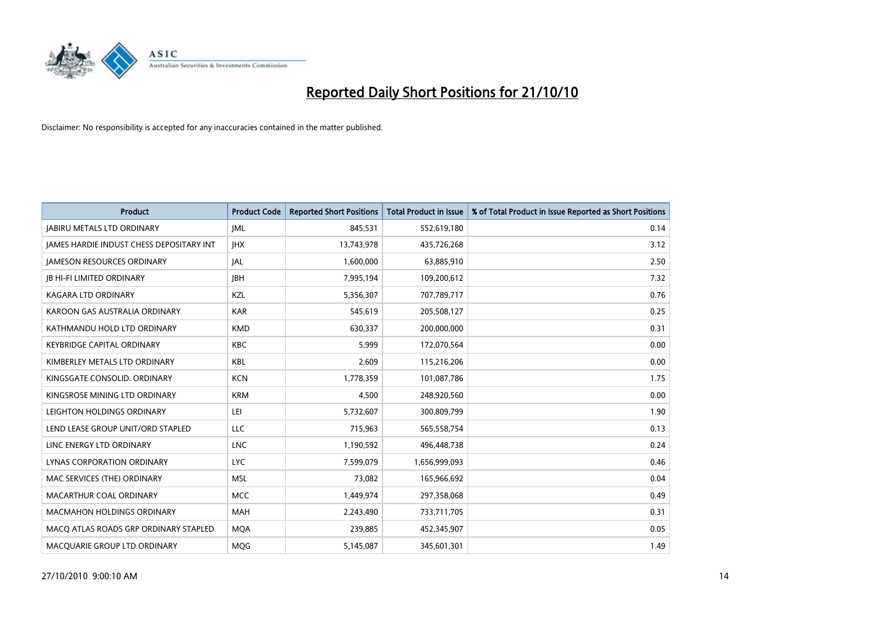

| <b>Product</b>                                  | <b>Product Code</b> | <b>Reported Short Positions</b> | <b>Total Product in Issue</b> | % of Total Product in Issue Reported as Short Positions |
|-------------------------------------------------|---------------------|---------------------------------|-------------------------------|---------------------------------------------------------|
| <b>JABIRU METALS LTD ORDINARY</b>               | <b>JML</b>          | 845,531                         | 552,619,180                   | 0.14                                                    |
| <b>JAMES HARDIE INDUST CHESS DEPOSITARY INT</b> | <b>IHX</b>          | 13,743,978                      | 435,726,268                   | 3.12                                                    |
| <b>JAMESON RESOURCES ORDINARY</b>               | <b>JAL</b>          | 1,600,000                       | 63,885,910                    | 2.50                                                    |
| <b>JB HI-FI LIMITED ORDINARY</b>                | <b>IBH</b>          | 7,995,194                       | 109,200,612                   | 7.32                                                    |
| <b>KAGARA LTD ORDINARY</b>                      | KZL                 | 5,356,307                       | 707,789,717                   | 0.76                                                    |
| KAROON GAS AUSTRALIA ORDINARY                   | <b>KAR</b>          | 545.619                         | 205,508,127                   | 0.25                                                    |
| KATHMANDU HOLD LTD ORDINARY                     | <b>KMD</b>          | 630,337                         | 200,000,000                   | 0.31                                                    |
| <b>KEYBRIDGE CAPITAL ORDINARY</b>               | <b>KBC</b>          | 5,999                           | 172,070,564                   | 0.00                                                    |
| KIMBERLEY METALS LTD ORDINARY                   | KBL                 | 2,609                           | 115,216,206                   | 0.00                                                    |
| KINGSGATE CONSOLID, ORDINARY                    | <b>KCN</b>          | 1,778,359                       | 101,087,786                   | 1.75                                                    |
| KINGSROSE MINING LTD ORDINARY                   | <b>KRM</b>          | 4,500                           | 248,920,560                   | 0.00                                                    |
| LEIGHTON HOLDINGS ORDINARY                      | LEI                 | 5,732,607                       | 300,809,799                   | 1.90                                                    |
| LEND LEASE GROUP UNIT/ORD STAPLED               | LLC                 | 715,963                         | 565,558,754                   | 0.13                                                    |
| LINC ENERGY LTD ORDINARY                        | <b>LNC</b>          | 1,190,592                       | 496,448,738                   | 0.24                                                    |
| LYNAS CORPORATION ORDINARY                      | <b>LYC</b>          | 7,599,079                       | 1,656,999,093                 | 0.46                                                    |
| MAC SERVICES (THE) ORDINARY                     | <b>MSL</b>          | 73.082                          | 165,966,692                   | 0.04                                                    |
| MACARTHUR COAL ORDINARY                         | <b>MCC</b>          | 1,449,974                       | 297,358,068                   | 0.49                                                    |
| MACMAHON HOLDINGS ORDINARY                      | <b>MAH</b>          | 2,243,490                       | 733,711,705                   | 0.31                                                    |
| MACO ATLAS ROADS GRP ORDINARY STAPLED           | <b>MOA</b>          | 239,885                         | 452,345,907                   | 0.05                                                    |
| MACQUARIE GROUP LTD ORDINARY                    | <b>MOG</b>          | 5,145,087                       | 345,601,301                   | 1.49                                                    |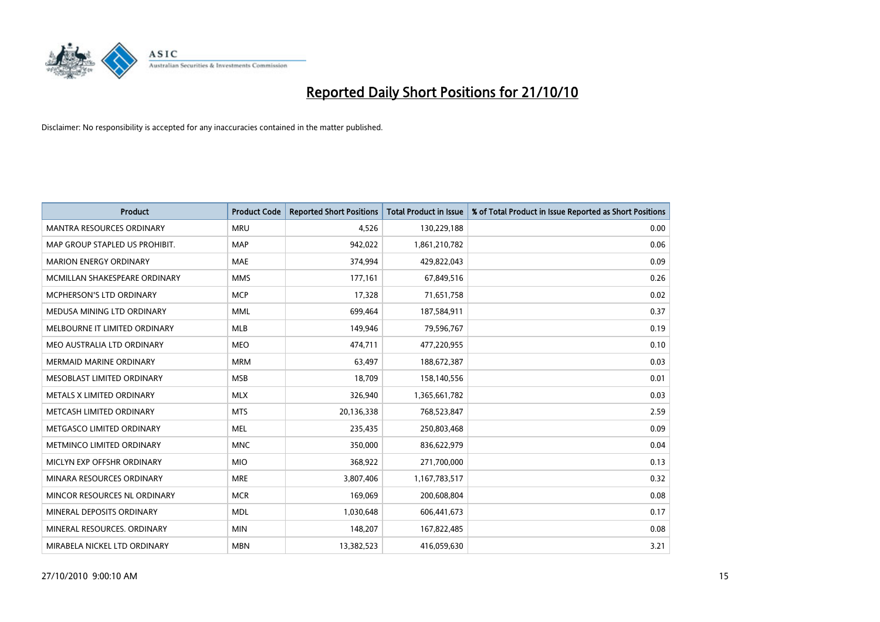

| <b>Product</b>                   | <b>Product Code</b> | <b>Reported Short Positions</b> | <b>Total Product in Issue</b> | % of Total Product in Issue Reported as Short Positions |
|----------------------------------|---------------------|---------------------------------|-------------------------------|---------------------------------------------------------|
| <b>MANTRA RESOURCES ORDINARY</b> | <b>MRU</b>          | 4,526                           | 130,229,188                   | 0.00                                                    |
| MAP GROUP STAPLED US PROHIBIT.   | <b>MAP</b>          | 942,022                         | 1,861,210,782                 | 0.06                                                    |
| <b>MARION ENERGY ORDINARY</b>    | <b>MAE</b>          | 374,994                         | 429,822,043                   | 0.09                                                    |
| MCMILLAN SHAKESPEARE ORDINARY    | <b>MMS</b>          | 177,161                         | 67,849,516                    | 0.26                                                    |
| <b>MCPHERSON'S LTD ORDINARY</b>  | <b>MCP</b>          | 17,328                          | 71,651,758                    | 0.02                                                    |
| MEDUSA MINING LTD ORDINARY       | <b>MML</b>          | 699,464                         | 187,584,911                   | 0.37                                                    |
| MELBOURNE IT LIMITED ORDINARY    | <b>MLB</b>          | 149,946                         | 79,596,767                    | 0.19                                                    |
| MEO AUSTRALIA LTD ORDINARY       | <b>MEO</b>          | 474,711                         | 477,220,955                   | 0.10                                                    |
| <b>MERMAID MARINE ORDINARY</b>   | <b>MRM</b>          | 63,497                          | 188,672,387                   | 0.03                                                    |
| MESOBLAST LIMITED ORDINARY       | <b>MSB</b>          | 18,709                          | 158,140,556                   | 0.01                                                    |
| METALS X LIMITED ORDINARY        | <b>MLX</b>          | 326,940                         | 1,365,661,782                 | 0.03                                                    |
| METCASH LIMITED ORDINARY         | <b>MTS</b>          | 20,136,338                      | 768,523,847                   | 2.59                                                    |
| METGASCO LIMITED ORDINARY        | <b>MEL</b>          | 235,435                         | 250,803,468                   | 0.09                                                    |
| METMINCO LIMITED ORDINARY        | <b>MNC</b>          | 350,000                         | 836,622,979                   | 0.04                                                    |
| MICLYN EXP OFFSHR ORDINARY       | <b>MIO</b>          | 368,922                         | 271,700,000                   | 0.13                                                    |
| MINARA RESOURCES ORDINARY        | <b>MRE</b>          | 3,807,406                       | 1,167,783,517                 | 0.32                                                    |
| MINCOR RESOURCES NL ORDINARY     | <b>MCR</b>          | 169,069                         | 200,608,804                   | 0.08                                                    |
| MINERAL DEPOSITS ORDINARY        | <b>MDL</b>          | 1,030,648                       | 606,441,673                   | 0.17                                                    |
| MINERAL RESOURCES, ORDINARY      | <b>MIN</b>          | 148,207                         | 167,822,485                   | 0.08                                                    |
| MIRABELA NICKEL LTD ORDINARY     | <b>MBN</b>          | 13,382,523                      | 416,059,630                   | 3.21                                                    |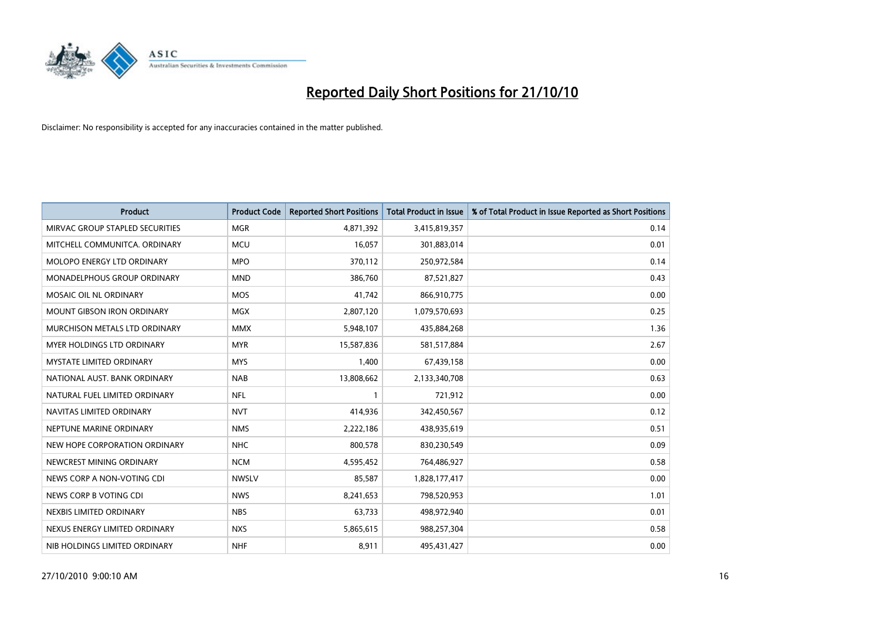

| <b>Product</b>                    | <b>Product Code</b> | <b>Reported Short Positions</b> | Total Product in Issue | % of Total Product in Issue Reported as Short Positions |
|-----------------------------------|---------------------|---------------------------------|------------------------|---------------------------------------------------------|
| MIRVAC GROUP STAPLED SECURITIES   | <b>MGR</b>          | 4,871,392                       | 3,415,819,357          | 0.14                                                    |
| MITCHELL COMMUNITCA. ORDINARY     | <b>MCU</b>          | 16,057                          | 301,883,014            | 0.01                                                    |
| <b>MOLOPO ENERGY LTD ORDINARY</b> | <b>MPO</b>          | 370,112                         | 250,972,584            | 0.14                                                    |
| MONADELPHOUS GROUP ORDINARY       | <b>MND</b>          | 386,760                         | 87,521,827             | 0.43                                                    |
| MOSAIC OIL NL ORDINARY            | <b>MOS</b>          | 41,742                          | 866,910,775            | 0.00                                                    |
| <b>MOUNT GIBSON IRON ORDINARY</b> | <b>MGX</b>          | 2,807,120                       | 1,079,570,693          | 0.25                                                    |
| MURCHISON METALS LTD ORDINARY     | <b>MMX</b>          | 5,948,107                       | 435,884,268            | 1.36                                                    |
| MYER HOLDINGS LTD ORDINARY        | <b>MYR</b>          | 15,587,836                      | 581,517,884            | 2.67                                                    |
| MYSTATE LIMITED ORDINARY          | <b>MYS</b>          | 1,400                           | 67,439,158             | 0.00                                                    |
| NATIONAL AUST. BANK ORDINARY      | <b>NAB</b>          | 13,808,662                      | 2,133,340,708          | 0.63                                                    |
| NATURAL FUEL LIMITED ORDINARY     | <b>NFL</b>          |                                 | 721,912                | 0.00                                                    |
| NAVITAS LIMITED ORDINARY          | <b>NVT</b>          | 414,936                         | 342,450,567            | 0.12                                                    |
| NEPTUNE MARINE ORDINARY           | <b>NMS</b>          | 2,222,186                       | 438,935,619            | 0.51                                                    |
| NEW HOPE CORPORATION ORDINARY     | <b>NHC</b>          | 800,578                         | 830,230,549            | 0.09                                                    |
| NEWCREST MINING ORDINARY          | <b>NCM</b>          | 4,595,452                       | 764,486,927            | 0.58                                                    |
| NEWS CORP A NON-VOTING CDI        | <b>NWSLV</b>        | 85.587                          | 1,828,177,417          | 0.00                                                    |
| NEWS CORP B VOTING CDI            | <b>NWS</b>          | 8,241,653                       | 798,520,953            | 1.01                                                    |
| NEXBIS LIMITED ORDINARY           | <b>NBS</b>          | 63,733                          | 498,972,940            | 0.01                                                    |
| NEXUS ENERGY LIMITED ORDINARY     | <b>NXS</b>          | 5,865,615                       | 988,257,304            | 0.58                                                    |
| NIB HOLDINGS LIMITED ORDINARY     | <b>NHF</b>          | 8,911                           | 495,431,427            | 0.00                                                    |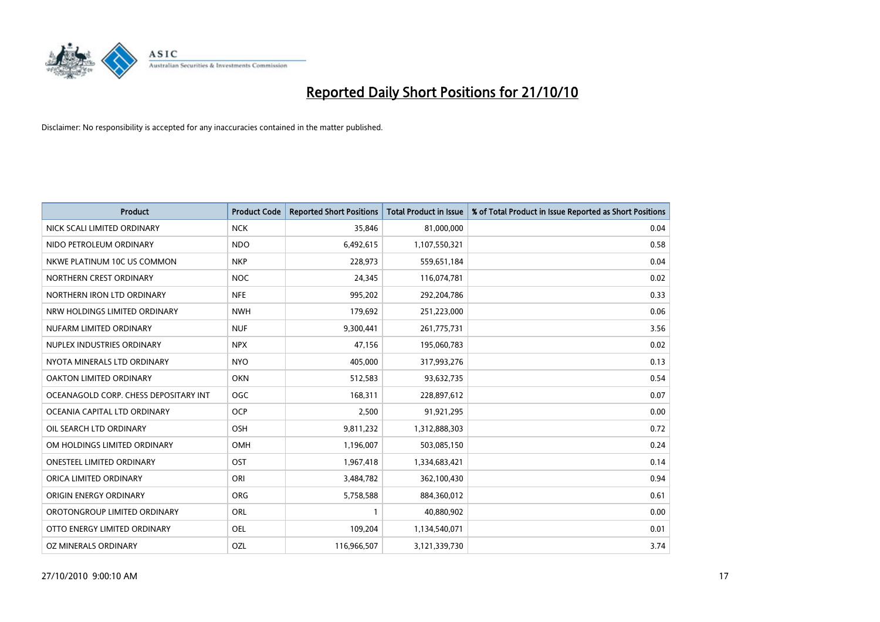

| <b>Product</b>                        | <b>Product Code</b> | <b>Reported Short Positions</b> | Total Product in Issue | % of Total Product in Issue Reported as Short Positions |
|---------------------------------------|---------------------|---------------------------------|------------------------|---------------------------------------------------------|
| NICK SCALI LIMITED ORDINARY           | <b>NCK</b>          | 35,846                          | 81,000,000             | 0.04                                                    |
| NIDO PETROLEUM ORDINARY               | <b>NDO</b>          | 6,492,615                       | 1,107,550,321          | 0.58                                                    |
| NKWE PLATINUM 10C US COMMON           | <b>NKP</b>          | 228,973                         | 559,651,184            | 0.04                                                    |
| NORTHERN CREST ORDINARY               | <b>NOC</b>          | 24,345                          | 116,074,781            | 0.02                                                    |
| NORTHERN IRON LTD ORDINARY            | <b>NFE</b>          | 995,202                         | 292,204,786            | 0.33                                                    |
| NRW HOLDINGS LIMITED ORDINARY         | <b>NWH</b>          | 179,692                         | 251,223,000            | 0.06                                                    |
| NUFARM LIMITED ORDINARY               | <b>NUF</b>          | 9,300,441                       | 261,775,731            | 3.56                                                    |
| NUPLEX INDUSTRIES ORDINARY            | <b>NPX</b>          | 47,156                          | 195,060,783            | 0.02                                                    |
| NYOTA MINERALS LTD ORDINARY           | <b>NYO</b>          | 405,000                         | 317,993,276            | 0.13                                                    |
| OAKTON LIMITED ORDINARY               | <b>OKN</b>          | 512,583                         | 93,632,735             | 0.54                                                    |
| OCEANAGOLD CORP. CHESS DEPOSITARY INT | <b>OGC</b>          | 168,311                         | 228,897,612            | 0.07                                                    |
| OCEANIA CAPITAL LTD ORDINARY          | <b>OCP</b>          | 2,500                           | 91,921,295             | 0.00                                                    |
| OIL SEARCH LTD ORDINARY               | OSH                 | 9,811,232                       | 1,312,888,303          | 0.72                                                    |
| OM HOLDINGS LIMITED ORDINARY          | <b>OMH</b>          | 1,196,007                       | 503,085,150            | 0.24                                                    |
| <b>ONESTEEL LIMITED ORDINARY</b>      | OST                 | 1,967,418                       | 1,334,683,421          | 0.14                                                    |
| ORICA LIMITED ORDINARY                | ORI                 | 3,484,782                       | 362,100,430            | 0.94                                                    |
| ORIGIN ENERGY ORDINARY                | ORG                 | 5,758,588                       | 884,360,012            | 0.61                                                    |
| OROTONGROUP LIMITED ORDINARY          | ORL                 |                                 | 40,880,902             | 0.00                                                    |
| OTTO ENERGY LIMITED ORDINARY          | OEL                 | 109,204                         | 1,134,540,071          | 0.01                                                    |
| OZ MINERALS ORDINARY                  | OZL                 | 116,966,507                     | 3,121,339,730          | 3.74                                                    |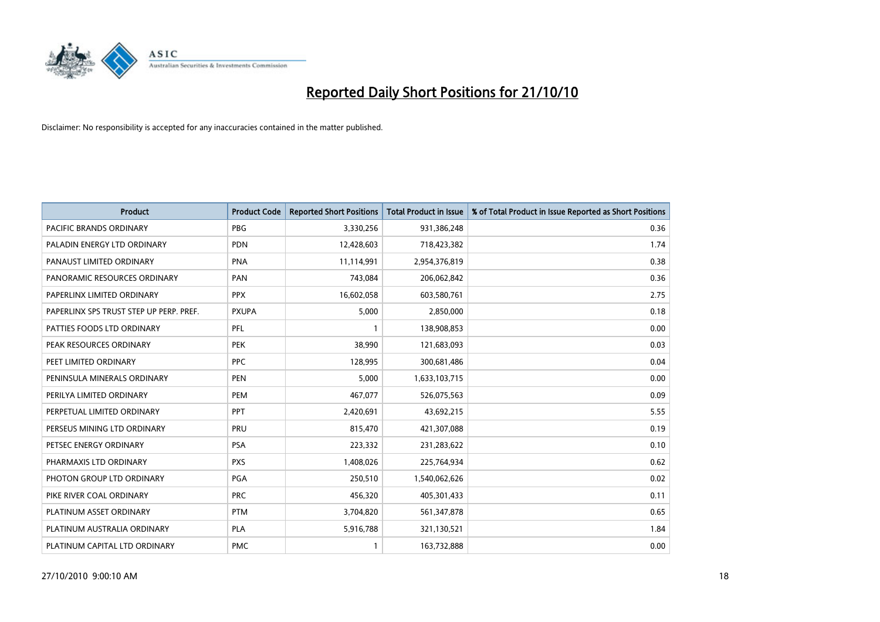

| <b>Product</b>                          | <b>Product Code</b> | <b>Reported Short Positions</b> | <b>Total Product in Issue</b> | % of Total Product in Issue Reported as Short Positions |
|-----------------------------------------|---------------------|---------------------------------|-------------------------------|---------------------------------------------------------|
| <b>PACIFIC BRANDS ORDINARY</b>          | <b>PBG</b>          | 3,330,256                       | 931,386,248                   | 0.36                                                    |
| PALADIN ENERGY LTD ORDINARY             | <b>PDN</b>          | 12,428,603                      | 718,423,382                   | 1.74                                                    |
| PANAUST LIMITED ORDINARY                | <b>PNA</b>          | 11,114,991                      | 2,954,376,819                 | 0.38                                                    |
| PANORAMIC RESOURCES ORDINARY            | PAN                 | 743,084                         | 206,062,842                   | 0.36                                                    |
| PAPERLINX LIMITED ORDINARY              | <b>PPX</b>          | 16,602,058                      | 603,580,761                   | 2.75                                                    |
| PAPERLINX SPS TRUST STEP UP PERP. PREF. | <b>PXUPA</b>        | 5,000                           | 2,850,000                     | 0.18                                                    |
| PATTIES FOODS LTD ORDINARY              | PFL                 |                                 | 138,908,853                   | 0.00                                                    |
| PEAK RESOURCES ORDINARY                 | <b>PEK</b>          | 38,990                          | 121,683,093                   | 0.03                                                    |
| PEET LIMITED ORDINARY                   | <b>PPC</b>          | 128,995                         | 300,681,486                   | 0.04                                                    |
| PENINSULA MINERALS ORDINARY             | <b>PEN</b>          | 5,000                           | 1,633,103,715                 | 0.00                                                    |
| PERILYA LIMITED ORDINARY                | PEM                 | 467,077                         | 526,075,563                   | 0.09                                                    |
| PERPETUAL LIMITED ORDINARY              | <b>PPT</b>          | 2,420,691                       | 43,692,215                    | 5.55                                                    |
| PERSEUS MINING LTD ORDINARY             | PRU                 | 815,470                         | 421,307,088                   | 0.19                                                    |
| PETSEC ENERGY ORDINARY                  | <b>PSA</b>          | 223,332                         | 231,283,622                   | 0.10                                                    |
| PHARMAXIS LTD ORDINARY                  | <b>PXS</b>          | 1,408,026                       | 225,764,934                   | 0.62                                                    |
| PHOTON GROUP LTD ORDINARY               | PGA                 | 250,510                         | 1,540,062,626                 | 0.02                                                    |
| PIKE RIVER COAL ORDINARY                | <b>PRC</b>          | 456,320                         | 405,301,433                   | 0.11                                                    |
| PLATINUM ASSET ORDINARY                 | <b>PTM</b>          | 3,704,820                       | 561,347,878                   | 0.65                                                    |
| PLATINUM AUSTRALIA ORDINARY             | <b>PLA</b>          | 5,916,788                       | 321,130,521                   | 1.84                                                    |
| PLATINUM CAPITAL LTD ORDINARY           | <b>PMC</b>          |                                 | 163,732,888                   | 0.00                                                    |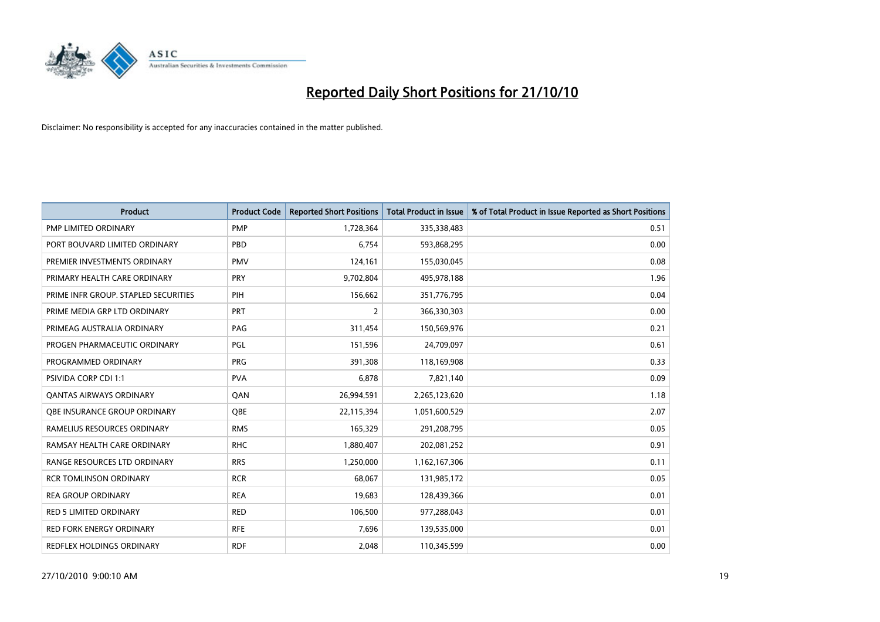

| <b>Product</b>                       | <b>Product Code</b> | <b>Reported Short Positions</b> | Total Product in Issue | % of Total Product in Issue Reported as Short Positions |
|--------------------------------------|---------------------|---------------------------------|------------------------|---------------------------------------------------------|
| PMP LIMITED ORDINARY                 | <b>PMP</b>          | 1,728,364                       | 335,338,483            | 0.51                                                    |
| PORT BOUVARD LIMITED ORDINARY        | PBD                 | 6.754                           | 593,868,295            | 0.00                                                    |
| PREMIER INVESTMENTS ORDINARY         | <b>PMV</b>          | 124,161                         | 155,030,045            | 0.08                                                    |
| PRIMARY HEALTH CARE ORDINARY         | PRY                 | 9,702,804                       | 495,978,188            | 1.96                                                    |
| PRIME INFR GROUP. STAPLED SECURITIES | PIH                 | 156.662                         | 351,776,795            | 0.04                                                    |
| PRIME MEDIA GRP LTD ORDINARY         | <b>PRT</b>          | $\overline{2}$                  | 366,330,303            | 0.00                                                    |
| PRIMEAG AUSTRALIA ORDINARY           | PAG                 | 311,454                         | 150,569,976            | 0.21                                                    |
| PROGEN PHARMACEUTIC ORDINARY         | <b>PGL</b>          | 151,596                         | 24,709,097             | 0.61                                                    |
| PROGRAMMED ORDINARY                  | <b>PRG</b>          | 391,308                         | 118,169,908            | 0.33                                                    |
| <b>PSIVIDA CORP CDI 1:1</b>          | <b>PVA</b>          | 6.878                           | 7,821,140              | 0.09                                                    |
| <b>QANTAS AIRWAYS ORDINARY</b>       | QAN                 | 26,994,591                      | 2,265,123,620          | 1.18                                                    |
| <b>OBE INSURANCE GROUP ORDINARY</b>  | <b>OBE</b>          | 22,115,394                      | 1,051,600,529          | 2.07                                                    |
| RAMELIUS RESOURCES ORDINARY          | <b>RMS</b>          | 165.329                         | 291,208,795            | 0.05                                                    |
| RAMSAY HEALTH CARE ORDINARY          | <b>RHC</b>          | 1,880,407                       | 202,081,252            | 0.91                                                    |
| RANGE RESOURCES LTD ORDINARY         | <b>RRS</b>          | 1,250,000                       | 1,162,167,306          | 0.11                                                    |
| <b>RCR TOMLINSON ORDINARY</b>        | <b>RCR</b>          | 68.067                          | 131,985,172            | 0.05                                                    |
| <b>REA GROUP ORDINARY</b>            | <b>REA</b>          | 19,683                          | 128,439,366            | 0.01                                                    |
| <b>RED 5 LIMITED ORDINARY</b>        | <b>RED</b>          | 106,500                         | 977,288,043            | 0.01                                                    |
| <b>RED FORK ENERGY ORDINARY</b>      | <b>RFE</b>          | 7,696                           | 139,535,000            | 0.01                                                    |
| REDFLEX HOLDINGS ORDINARY            | <b>RDF</b>          | 2.048                           | 110,345,599            | 0.00                                                    |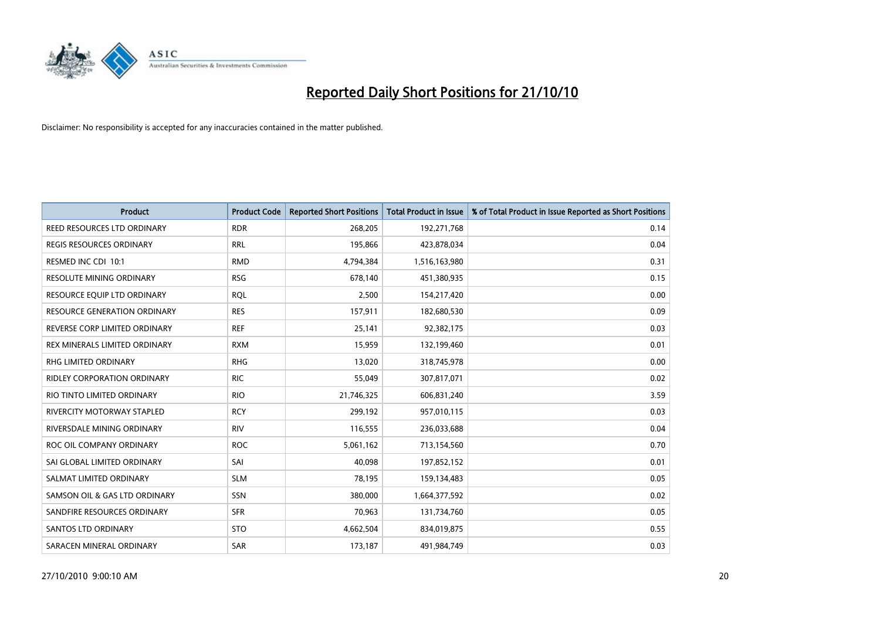

| <b>Product</b>                      | <b>Product Code</b> | <b>Reported Short Positions</b> | <b>Total Product in Issue</b> | % of Total Product in Issue Reported as Short Positions |
|-------------------------------------|---------------------|---------------------------------|-------------------------------|---------------------------------------------------------|
| <b>REED RESOURCES LTD ORDINARY</b>  | <b>RDR</b>          | 268,205                         | 192,271,768                   | 0.14                                                    |
| <b>REGIS RESOURCES ORDINARY</b>     | <b>RRL</b>          | 195,866                         | 423,878,034                   | 0.04                                                    |
| RESMED INC CDI 10:1                 | <b>RMD</b>          | 4,794,384                       | 1,516,163,980                 | 0.31                                                    |
| RESOLUTE MINING ORDINARY            | <b>RSG</b>          | 678,140                         | 451,380,935                   | 0.15                                                    |
| RESOURCE EQUIP LTD ORDINARY         | <b>ROL</b>          | 2,500                           | 154,217,420                   | 0.00                                                    |
| <b>RESOURCE GENERATION ORDINARY</b> | <b>RES</b>          | 157,911                         | 182,680,530                   | 0.09                                                    |
| REVERSE CORP LIMITED ORDINARY       | <b>REF</b>          | 25,141                          | 92,382,175                    | 0.03                                                    |
| REX MINERALS LIMITED ORDINARY       | <b>RXM</b>          | 15,959                          | 132,199,460                   | 0.01                                                    |
| <b>RHG LIMITED ORDINARY</b>         | <b>RHG</b>          | 13,020                          | 318,745,978                   | 0.00                                                    |
| <b>RIDLEY CORPORATION ORDINARY</b>  | <b>RIC</b>          | 55,049                          | 307,817,071                   | 0.02                                                    |
| RIO TINTO LIMITED ORDINARY          | <b>RIO</b>          | 21,746,325                      | 606,831,240                   | 3.59                                                    |
| RIVERCITY MOTORWAY STAPLED          | <b>RCY</b>          | 299,192                         | 957,010,115                   | 0.03                                                    |
| RIVERSDALE MINING ORDINARY          | <b>RIV</b>          | 116,555                         | 236,033,688                   | 0.04                                                    |
| ROC OIL COMPANY ORDINARY            | <b>ROC</b>          | 5,061,162                       | 713,154,560                   | 0.70                                                    |
| SAI GLOBAL LIMITED ORDINARY         | SAI                 | 40,098                          | 197,852,152                   | 0.01                                                    |
| SALMAT LIMITED ORDINARY             | <b>SLM</b>          | 78,195                          | 159,134,483                   | 0.05                                                    |
| SAMSON OIL & GAS LTD ORDINARY       | SSN                 | 380,000                         | 1,664,377,592                 | 0.02                                                    |
| SANDFIRE RESOURCES ORDINARY         | <b>SFR</b>          | 70,963                          | 131,734,760                   | 0.05                                                    |
| <b>SANTOS LTD ORDINARY</b>          | <b>STO</b>          | 4,662,504                       | 834,019,875                   | 0.55                                                    |
| SARACEN MINERAL ORDINARY            | SAR                 | 173,187                         | 491,984,749                   | 0.03                                                    |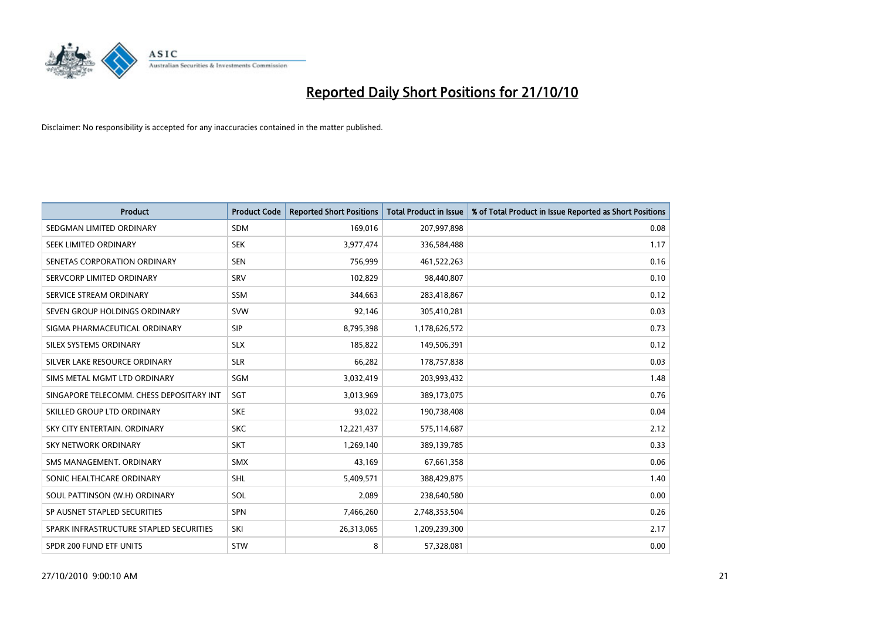

| <b>Product</b>                           | <b>Product Code</b> | <b>Reported Short Positions</b> | <b>Total Product in Issue</b> | % of Total Product in Issue Reported as Short Positions |
|------------------------------------------|---------------------|---------------------------------|-------------------------------|---------------------------------------------------------|
| SEDGMAN LIMITED ORDINARY                 | <b>SDM</b>          | 169,016                         | 207,997,898                   | 0.08                                                    |
| SEEK LIMITED ORDINARY                    | <b>SEK</b>          | 3,977,474                       | 336,584,488                   | 1.17                                                    |
| SENETAS CORPORATION ORDINARY             | <b>SEN</b>          | 756,999                         | 461,522,263                   | 0.16                                                    |
| SERVCORP LIMITED ORDINARY                | SRV                 | 102,829                         | 98,440,807                    | 0.10                                                    |
| SERVICE STREAM ORDINARY                  | SSM                 | 344,663                         | 283,418,867                   | 0.12                                                    |
| SEVEN GROUP HOLDINGS ORDINARY            | <b>SVW</b>          | 92,146                          | 305,410,281                   | 0.03                                                    |
| SIGMA PHARMACEUTICAL ORDINARY            | SIP                 | 8,795,398                       | 1,178,626,572                 | 0.73                                                    |
| SILEX SYSTEMS ORDINARY                   | <b>SLX</b>          | 185,822                         | 149,506,391                   | 0.12                                                    |
| SILVER LAKE RESOURCE ORDINARY            | <b>SLR</b>          | 66,282                          | 178,757,838                   | 0.03                                                    |
| SIMS METAL MGMT LTD ORDINARY             | SGM                 | 3,032,419                       | 203,993,432                   | 1.48                                                    |
| SINGAPORE TELECOMM. CHESS DEPOSITARY INT | SGT                 | 3,013,969                       | 389,173,075                   | 0.76                                                    |
| SKILLED GROUP LTD ORDINARY               | <b>SKE</b>          | 93,022                          | 190,738,408                   | 0.04                                                    |
| SKY CITY ENTERTAIN, ORDINARY             | <b>SKC</b>          | 12,221,437                      | 575,114,687                   | 2.12                                                    |
| <b>SKY NETWORK ORDINARY</b>              | <b>SKT</b>          | 1,269,140                       | 389,139,785                   | 0.33                                                    |
| SMS MANAGEMENT, ORDINARY                 | <b>SMX</b>          | 43,169                          | 67,661,358                    | 0.06                                                    |
| SONIC HEALTHCARE ORDINARY                | <b>SHL</b>          | 5,409,571                       | 388,429,875                   | 1.40                                                    |
| SOUL PATTINSON (W.H) ORDINARY            | SOL                 | 2,089                           | 238,640,580                   | 0.00                                                    |
| SP AUSNET STAPLED SECURITIES             | <b>SPN</b>          | 7,466,260                       | 2,748,353,504                 | 0.26                                                    |
| SPARK INFRASTRUCTURE STAPLED SECURITIES  | SKI                 | 26,313,065                      | 1,209,239,300                 | 2.17                                                    |
| SPDR 200 FUND ETF UNITS                  | STW                 | 8                               | 57,328,081                    | 0.00                                                    |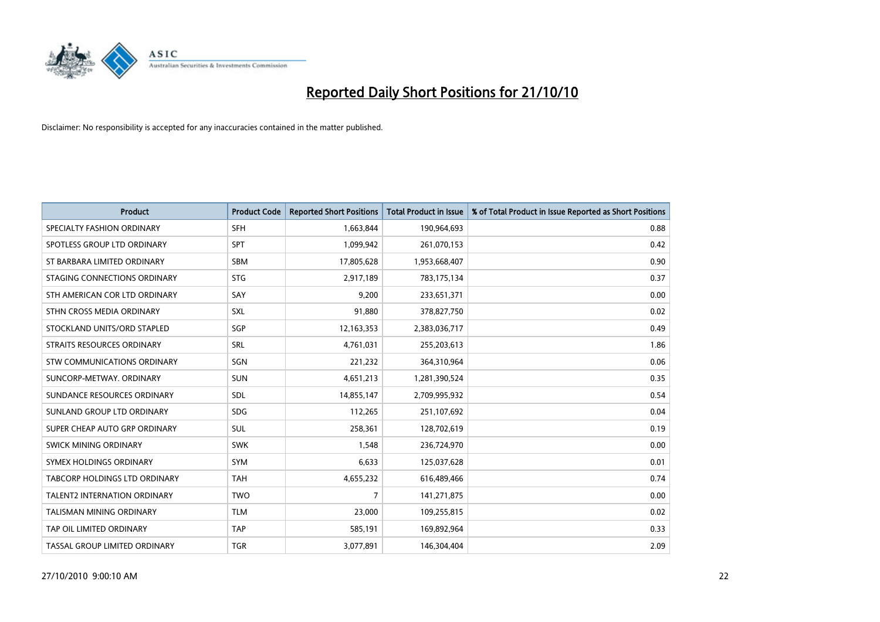

| <b>Product</b>                  | <b>Product Code</b> | <b>Reported Short Positions</b> | <b>Total Product in Issue</b> | % of Total Product in Issue Reported as Short Positions |
|---------------------------------|---------------------|---------------------------------|-------------------------------|---------------------------------------------------------|
| SPECIALTY FASHION ORDINARY      | <b>SFH</b>          | 1,663,844                       | 190,964,693                   | 0.88                                                    |
| SPOTLESS GROUP LTD ORDINARY     | <b>SPT</b>          | 1,099,942                       | 261,070,153                   | 0.42                                                    |
| ST BARBARA LIMITED ORDINARY     | SBM                 | 17,805,628                      | 1,953,668,407                 | 0.90                                                    |
| STAGING CONNECTIONS ORDINARY    | <b>STG</b>          | 2,917,189                       | 783,175,134                   | 0.37                                                    |
| STH AMERICAN COR LTD ORDINARY   | SAY                 | 9,200                           | 233,651,371                   | 0.00                                                    |
| STHN CROSS MEDIA ORDINARY       | <b>SXL</b>          | 91,880                          | 378,827,750                   | 0.02                                                    |
| STOCKLAND UNITS/ORD STAPLED     | <b>SGP</b>          | 12,163,353                      | 2,383,036,717                 | 0.49                                                    |
| STRAITS RESOURCES ORDINARY      | <b>SRL</b>          | 4,761,031                       | 255,203,613                   | 1.86                                                    |
| STW COMMUNICATIONS ORDINARY     | SGN                 | 221,232                         | 364,310,964                   | 0.06                                                    |
| SUNCORP-METWAY, ORDINARY        | <b>SUN</b>          | 4,651,213                       | 1,281,390,524                 | 0.35                                                    |
| SUNDANCE RESOURCES ORDINARY     | <b>SDL</b>          | 14,855,147                      | 2,709,995,932                 | 0.54                                                    |
| SUNLAND GROUP LTD ORDINARY      | <b>SDG</b>          | 112,265                         | 251,107,692                   | 0.04                                                    |
| SUPER CHEAP AUTO GRP ORDINARY   | <b>SUL</b>          | 258,361                         | 128,702,619                   | 0.19                                                    |
| SWICK MINING ORDINARY           | <b>SWK</b>          | 1,548                           | 236,724,970                   | 0.00                                                    |
| SYMEX HOLDINGS ORDINARY         | <b>SYM</b>          | 6,633                           | 125,037,628                   | 0.01                                                    |
| TABCORP HOLDINGS LTD ORDINARY   | <b>TAH</b>          | 4,655,232                       | 616,489,466                   | 0.74                                                    |
| TALENT2 INTERNATION ORDINARY    | <b>TWO</b>          | $\overline{7}$                  | 141,271,875                   | 0.00                                                    |
| <b>TALISMAN MINING ORDINARY</b> | <b>TLM</b>          | 23,000                          | 109,255,815                   | 0.02                                                    |
| TAP OIL LIMITED ORDINARY        | <b>TAP</b>          | 585,191                         | 169,892,964                   | 0.33                                                    |
| TASSAL GROUP LIMITED ORDINARY   | <b>TGR</b>          | 3,077,891                       | 146,304,404                   | 2.09                                                    |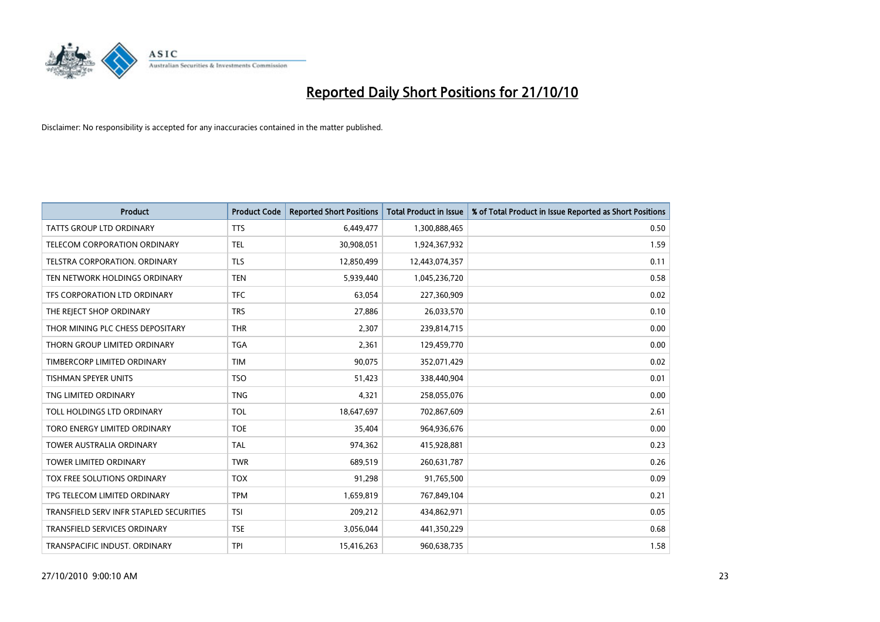

| <b>Product</b>                          | <b>Product Code</b> | <b>Reported Short Positions</b> | <b>Total Product in Issue</b> | % of Total Product in Issue Reported as Short Positions |
|-----------------------------------------|---------------------|---------------------------------|-------------------------------|---------------------------------------------------------|
| <b>TATTS GROUP LTD ORDINARY</b>         | <b>TTS</b>          | 6,449,477                       | 1,300,888,465                 | 0.50                                                    |
| TELECOM CORPORATION ORDINARY            | <b>TEL</b>          | 30,908,051                      | 1,924,367,932                 | 1.59                                                    |
| <b>TELSTRA CORPORATION, ORDINARY</b>    | <b>TLS</b>          | 12,850,499                      | 12,443,074,357                | 0.11                                                    |
| TEN NETWORK HOLDINGS ORDINARY           | <b>TEN</b>          | 5,939,440                       | 1,045,236,720                 | 0.58                                                    |
| TFS CORPORATION LTD ORDINARY            | <b>TFC</b>          | 63.054                          | 227,360,909                   | 0.02                                                    |
| THE REJECT SHOP ORDINARY                | <b>TRS</b>          | 27,886                          | 26,033,570                    | 0.10                                                    |
| THOR MINING PLC CHESS DEPOSITARY        | <b>THR</b>          | 2.307                           | 239,814,715                   | 0.00                                                    |
| THORN GROUP LIMITED ORDINARY            | <b>TGA</b>          | 2,361                           | 129,459,770                   | 0.00                                                    |
| TIMBERCORP LIMITED ORDINARY             | <b>TIM</b>          | 90,075                          | 352,071,429                   | 0.02                                                    |
| <b>TISHMAN SPEYER UNITS</b>             | <b>TSO</b>          | 51,423                          | 338,440,904                   | 0.01                                                    |
| TNG LIMITED ORDINARY                    | <b>TNG</b>          | 4,321                           | 258,055,076                   | 0.00                                                    |
| TOLL HOLDINGS LTD ORDINARY              | TOL                 | 18,647,697                      | 702,867,609                   | 2.61                                                    |
| TORO ENERGY LIMITED ORDINARY            | <b>TOE</b>          | 35.404                          | 964,936,676                   | 0.00                                                    |
| <b>TOWER AUSTRALIA ORDINARY</b>         | <b>TAL</b>          | 974,362                         | 415,928,881                   | 0.23                                                    |
| TOWER LIMITED ORDINARY                  | <b>TWR</b>          | 689,519                         | 260,631,787                   | 0.26                                                    |
| TOX FREE SOLUTIONS ORDINARY             | <b>TOX</b>          | 91,298                          | 91,765,500                    | 0.09                                                    |
| TPG TELECOM LIMITED ORDINARY            | <b>TPM</b>          | 1,659,819                       | 767,849,104                   | 0.21                                                    |
| TRANSFIELD SERV INFR STAPLED SECURITIES | <b>TSI</b>          | 209,212                         | 434,862,971                   | 0.05                                                    |
| <b>TRANSFIELD SERVICES ORDINARY</b>     | <b>TSE</b>          | 3,056,044                       | 441,350,229                   | 0.68                                                    |
| TRANSPACIFIC INDUST, ORDINARY           | <b>TPI</b>          | 15,416,263                      | 960,638,735                   | 1.58                                                    |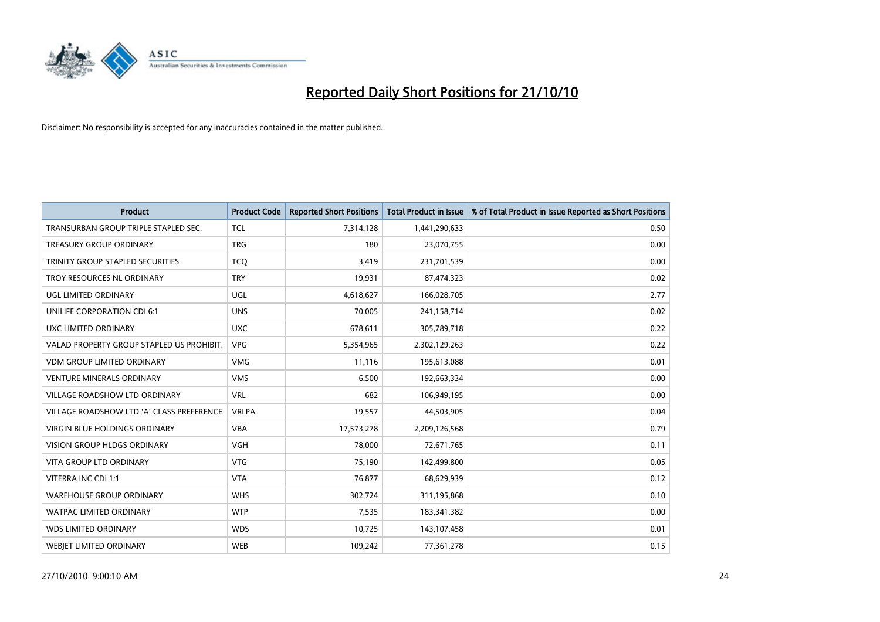

| <b>Product</b>                            | <b>Product Code</b> | <b>Reported Short Positions</b> | Total Product in Issue | % of Total Product in Issue Reported as Short Positions |
|-------------------------------------------|---------------------|---------------------------------|------------------------|---------------------------------------------------------|
| TRANSURBAN GROUP TRIPLE STAPLED SEC.      | <b>TCL</b>          | 7,314,128                       | 1,441,290,633          | 0.50                                                    |
| <b>TREASURY GROUP ORDINARY</b>            | <b>TRG</b>          | 180                             | 23,070,755             | 0.00                                                    |
| TRINITY GROUP STAPLED SECURITIES          | <b>TCO</b>          | 3,419                           | 231,701,539            | 0.00                                                    |
| TROY RESOURCES NL ORDINARY                | <b>TRY</b>          | 19,931                          | 87,474,323             | 0.02                                                    |
| UGL LIMITED ORDINARY                      | UGL                 | 4,618,627                       | 166,028,705            | 2.77                                                    |
| UNILIFE CORPORATION CDI 6:1               | <b>UNS</b>          | 70,005                          | 241,158,714            | 0.02                                                    |
| UXC LIMITED ORDINARY                      | <b>UXC</b>          | 678,611                         | 305,789,718            | 0.22                                                    |
| VALAD PROPERTY GROUP STAPLED US PROHIBIT. | <b>VPG</b>          | 5,354,965                       | 2,302,129,263          | 0.22                                                    |
| <b>VDM GROUP LIMITED ORDINARY</b>         | <b>VMG</b>          | 11,116                          | 195,613,088            | 0.01                                                    |
| <b>VENTURE MINERALS ORDINARY</b>          | <b>VMS</b>          | 6,500                           | 192,663,334            | 0.00                                                    |
| VILLAGE ROADSHOW LTD ORDINARY             | <b>VRL</b>          | 682                             | 106,949,195            | 0.00                                                    |
| VILLAGE ROADSHOW LTD 'A' CLASS PREFERENCE | <b>VRLPA</b>        | 19,557                          | 44,503,905             | 0.04                                                    |
| VIRGIN BLUE HOLDINGS ORDINARY             | <b>VBA</b>          | 17,573,278                      | 2,209,126,568          | 0.79                                                    |
| <b>VISION GROUP HLDGS ORDINARY</b>        | VGH                 | 78,000                          | 72,671,765             | 0.11                                                    |
| <b>VITA GROUP LTD ORDINARY</b>            | <b>VTG</b>          | 75,190                          | 142,499,800            | 0.05                                                    |
| VITERRA INC CDI 1:1                       | <b>VTA</b>          | 76,877                          | 68,629,939             | 0.12                                                    |
| <b>WAREHOUSE GROUP ORDINARY</b>           | <b>WHS</b>          | 302,724                         | 311,195,868            | 0.10                                                    |
| WATPAC LIMITED ORDINARY                   | <b>WTP</b>          | 7,535                           | 183,341,382            | 0.00                                                    |
| <b>WDS LIMITED ORDINARY</b>               | <b>WDS</b>          | 10,725                          | 143,107,458            | 0.01                                                    |
| WEBJET LIMITED ORDINARY                   | <b>WEB</b>          | 109,242                         | 77,361,278             | 0.15                                                    |